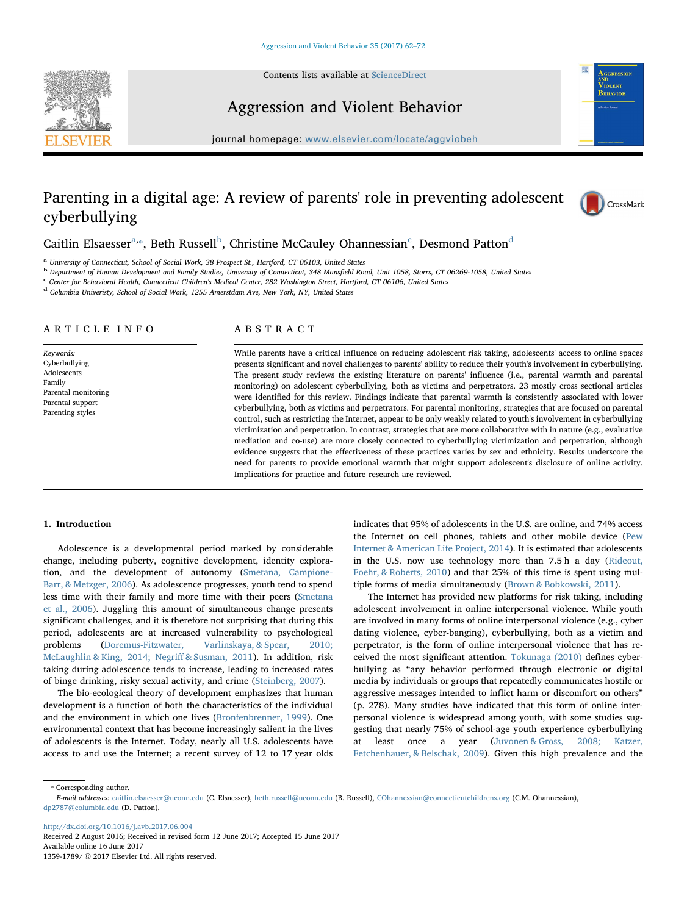

Aggression and Violent Behavior

Contents lists available at [ScienceDirect](http://www.sciencedirect.com/science/journal/13591789)

 $j$ ornal homepage: www.elsevier.com/locate/aggluobeheer.com/locate/aggluobeheer.com/locate/aggluobeheer.com/locate/aggluobeheer.com/locate/aggluobeheer.com/locate/aggluobeheer.com/locate/aggluobeheer.com/locate/aggluobehe

# Parenting in a digital age: A review of parents' role in preventing adolescent cyberbullying



## C[a](#page-0-0)itlin Elsaesser<sup>a,</sup>\*, Beth Russell<sup>[b](#page-0-2)</sup>, Christine M[c](#page-0-3)Cauley Ohannessian<sup>c</sup>, Desmon[d](#page-0-4) Patton<sup>d</sup>

<span id="page-0-0"></span><sup>a</sup> University of Connecticut, School of Social Work, 38 Prospect St., Hartford, CT 06103, United States

<span id="page-0-2"></span>Department of Human Development and Family Studies, University of Connecticut, 348 Mansfield Road, Unit 1058, Storrs, CT 06269-1058, United States<br>Center for Behavioral Health, Connecticut Children's Medical Center, 282 Wa

<span id="page-0-3"></span>

<span id="page-0-4"></span><sup>d</sup> Columbia Univeristy, School of Social Work, 1255 Amerstdam Ave, New York, NY, United States

#### ARTICLE INFO

Keywords: Cyberbullying Adolescents Family Parental monitoring Parental support Parenting styles

### ABSTRACT

While parents have a critical influence on reducing adolescent risk taking, adolescents' access to online spaces presents significant and novel challenges to parents' ability to reduce their youth's involvement in cyberbullying. The present study reviews the existing literature on parents' influence (i.e., parental warmth and parental monitoring) on adolescent cyberbullying, both as victims and perpetrators. 23 mostly cross sectional articles were identified for this review. Findings indicate that parental warmth is consistently associated with lower cyberbullying, both as victims and perpetrators. For parental monitoring, strategies that are focused on parental control, such as restricting the Internet, appear to be only weakly related to youth's involvement in cyberbullying victimization and perpetration. In contrast, strategies that are more collaborative with in nature (e.g., evaluative mediation and co-use) are more closely connected to cyberbullying victimization and perpetration, although evidence suggests that the effectiveness of these practices varies by sex and ethnicity. Results underscore the need for parents to provide emotional warmth that might support adolescent's disclosure of online activity. Implications for practice and future research are reviewed.

#### 1. Introduction

Adolescence is a developmental period marked by considerable change, including puberty, cognitive development, identity exploration, and the development of autonomy [\(Smetana, Campione-](#page-9-0)[Barr, & Metzger, 2006\)](#page-9-0). As adolescence progresses, youth tend to spend less time with their family and more time with their peers ([Smetana](#page-9-0) [et al., 2006](#page-9-0)). Juggling this amount of simultaneous change presents significant challenges, and it is therefore not surprising that during this period, adolescents are at increased vulnerability to psychological problems [\(Doremus-Fitzwater, Varlinskaya, & Spear, 2010;](#page-8-0) [McLaughlin & King, 2014; Negri](#page-8-0)ff & Susman, 2011). In addition, risk taking during adolescence tends to increase, leading to increased rates of binge drinking, risky sexual activity, and crime [\(Steinberg, 2007\)](#page-9-1).

The bio-ecological theory of development emphasizes that human development is a function of both the characteristics of the individual and the environment in which one lives ([Bronfenbrenner, 1999](#page-8-1)). One environmental context that has become increasingly salient in the lives of adolescents is the Internet. Today, nearly all U.S. adolescents have access to and use the Internet; a recent survey of 12 to 17 year olds

indicates that 95% of adolescents in the U.S. are online, and 74% access the Internet on cell phones, tablets and other mobile device ([Pew](#page-9-2) [Internet & American Life Project, 2014\)](#page-9-2). It is estimated that adolescents in the U.S. now use technology more than 7.5 h a day ([Rideout,](#page-9-3) [Foehr, & Roberts, 2010\)](#page-9-3) and that 25% of this time is spent using multiple forms of media simultaneously [\(Brown & Bobkowski, 2011](#page-8-2)).

The Internet has provided new platforms for risk taking, including adolescent involvement in online interpersonal violence. While youth are involved in many forms of online interpersonal violence (e.g., cyber dating violence, cyber-banging), cyberbullying, both as a victim and perpetrator, is the form of online interpersonal violence that has received the most significant attention. [Tokunaga \(2010\)](#page-9-4) defines cyberbullying as "any behavior performed through electronic or digital media by individuals or groups that repeatedly communicates hostile or aggressive messages intended to inflict harm or discomfort on others" (p. 278). Many studies have indicated that this form of online interpersonal violence is widespread among youth, with some studies suggesting that nearly 75% of school-age youth experience cyberbullying at least once a year [\(Juvonen & Gross, 2008; Katzer,](#page-8-3) [Fetchenhauer, & Belschak, 2009\)](#page-8-3). Given this high prevalence and the

<span id="page-0-1"></span>⁎ Corresponding author.

E-mail addresses: [caitlin.elsaesser@uconn.edu](mailto:caitlin.elsaesser@uconn.edu) (C. Elsaesser), [beth.russell@uconn.edu](mailto:beth.russell@uconn.edu) (B. Russell), [COhannessian@connecticutchildrens.org](mailto:COhannessian@connecticutchildrens.org) (C.M. Ohannessian), [dp2787@columbia.edu](mailto:dp2787@columbia.edu) (D. Patton).

<http://dx.doi.org/10.1016/j.avb.2017.06.004>

Received 2 August 2016; Received in revised form 12 June 2017; Accepted 15 June 2017 Available online 16 June 2017 1359-1789/ © 2017 Elsevier Ltd. All rights reserved.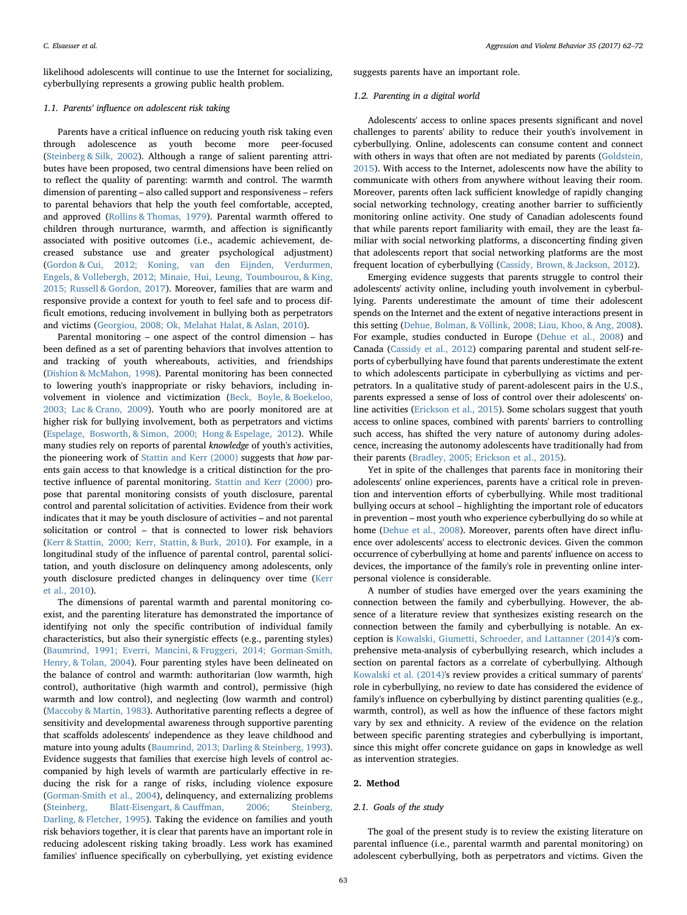likelihood adolescents will continue to use the Internet for socializing, cyberbullying represents a growing public health problem.

#### 1.1. Parents' influence on adolescent risk taking

Parents have a critical influence on reducing youth risk taking even through adolescence as youth become more peer-focused ([Steinberg & Silk, 2002\)](#page-9-5). Although a range of salient parenting attributes have been proposed, two central dimensions have been relied on to reflect the quality of parenting: warmth and control. The warmth dimension of parenting – also called support and responsiveness – refers to parental behaviors that help the youth feel comfortable, accepted, and approved [\(Rollins & Thomas, 1979](#page-9-6)). Parental warmth offered to children through nurturance, warmth, and affection is significantly associated with positive outcomes (i.e., academic achievement, decreased substance use and greater psychological adjustment) ([Gordon & Cui, 2012; Koning, van den Eijnden, Verdurmen,](#page-8-4) [Engels, & Vollebergh, 2012; Minaie, Hui, Leung, Toumbourou, & King,](#page-8-4) [2015; Russell & Gordon, 2017\)](#page-8-4). Moreover, families that are warm and responsive provide a context for youth to feel safe and to process difficult emotions, reducing involvement in bullying both as perpetrators and victims [\(Georgiou, 2008; Ok, Melahat Halat, & Aslan, 2010](#page-8-5)).

Parental monitoring – one aspect of the control dimension – has been defined as a set of parenting behaviors that involves attention to and tracking of youth whereabouts, activities, and friendships ([Dishion & McMahon, 1998\)](#page-8-6). Parental monitoring has been connected to lowering youth's inappropriate or risky behaviors, including involvement in violence and victimization [\(Beck, Boyle, & Boekeloo,](#page-8-7) [2003; Lac & Crano, 2009](#page-8-7)). Youth who are poorly monitored are at higher risk for bullying involvement, both as perpetrators and victims ([Espelage, Bosworth, & Simon, 2000; Hong & Espelage, 2012](#page-8-8)). While many studies rely on reports of parental knowledge of youth's activities, the pioneering work of [Stattin and Kerr \(2000\)](#page-9-7) suggests that how parents gain access to that knowledge is a critical distinction for the protective influence of parental monitoring. [Stattin and Kerr \(2000\)](#page-9-7) propose that parental monitoring consists of youth disclosure, parental control and parental solicitation of activities. Evidence from their work indicates that it may be youth disclosure of activities – and not parental solicitation or control – that is connected to lower risk behaviors ([Kerr & Stattin, 2000; Kerr, Stattin, & Burk, 2010\)](#page-8-9). For example, in a longitudinal study of the influence of parental control, parental solicitation, and youth disclosure on delinquency among adolescents, only youth disclosure predicted changes in delinquency over time [\(Kerr](#page-9-8) [et al., 2010](#page-9-8)).

The dimensions of parental warmth and parental monitoring coexist, and the parenting literature has demonstrated the importance of identifying not only the specific contribution of individual family characteristics, but also their synergistic effects (e.g., parenting styles) ([Baumrind, 1991; Everri, Mancini, & Fruggeri, 2014; Gorman-Smith,](#page-8-10) [Henry, & Tolan, 2004](#page-8-10)). Four parenting styles have been delineated on the balance of control and warmth: authoritarian (low warmth, high control), authoritative (high warmth and control), permissive (high warmth and low control), and neglecting (low warmth and control) ([Maccoby & Martin, 1983](#page-9-9)). Authoritative parenting reflects a degree of sensitivity and developmental awareness through supportive parenting that scaffolds adolescents' independence as they leave childhood and mature into young adults [\(Baumrind, 2013; Darling & Steinberg, 1993](#page-8-11)). Evidence suggests that families that exercise high levels of control accompanied by high levels of warmth are particularly effective in reducing the risk for a range of risks, including violence exposure ([Gorman-Smith et al., 2004\)](#page-8-12), delinquency, and externalizing problems ([Steinberg, Blatt-Eisengart, & Cau](#page-9-10)ffman, 2006; Steinberg, [Darling, & Fletcher, 1995](#page-9-10)). Taking the evidence on families and youth risk behaviors together, it is clear that parents have an important role in reducing adolescent risking taking broadly. Less work has examined families' influence specifically on cyberbullying, yet existing evidence suggests parents have an important role.

#### 1.2. Parenting in a digital world

Adolescents' access to online spaces presents significant and novel challenges to parents' ability to reduce their youth's involvement in cyberbullying. Online, adolescents can consume content and connect with others in ways that often are not mediated by parents ([Goldstein,](#page-8-13) [2015\)](#page-8-13). With access to the Internet, adolescents now have the ability to communicate with others from anywhere without leaving their room. Moreover, parents often lack sufficient knowledge of rapidly changing social networking technology, creating another barrier to sufficiently monitoring online activity. One study of Canadian adolescents found that while parents report familiarity with email, they are the least familiar with social networking platforms, a disconcerting finding given that adolescents report that social networking platforms are the most frequent location of cyberbullying ([Cassidy, Brown, & Jackson, 2012\)](#page-8-14).

Emerging evidence suggests that parents struggle to control their adolescents' activity online, including youth involvement in cyberbullying. Parents underestimate the amount of time their adolescent spends on the Internet and the extent of negative interactions present in this setting [\(Dehue, Bolman, & Völlink, 2008; Liau, Khoo, & Ang, 2008](#page-8-15)). For example, studies conducted in Europe ([Dehue et al., 2008\)](#page-8-15) and Canada ([Cassidy et al., 2012\)](#page-8-14) comparing parental and student self-reports of cyberbullying have found that parents underestimate the extent to which adolescents participate in cyberbullying as victims and perpetrators. In a qualitative study of parent-adolescent pairs in the U.S., parents expressed a sense of loss of control over their adolescents' online activities [\(Erickson et al., 2015](#page-8-16)). Some scholars suggest that youth access to online spaces, combined with parents' barriers to controlling such access, has shifted the very nature of autonomy during adolescence, increasing the autonomy adolescents have traditionally had from their parents ([Bradley, 2005; Erickson et al., 2015\)](#page-8-17).

Yet in spite of the challenges that parents face in monitoring their adolescents' online experiences, parents have a critical role in prevention and intervention efforts of cyberbullying. While most traditional bullying occurs at school – highlighting the important role of educators in prevention – most youth who experience cyberbullying do so while at home [\(Dehue et al., 2008\)](#page-8-15). Moreover, parents often have direct influence over adolescents' access to electronic devices. Given the common occurrence of cyberbullying at home and parents' influence on access to devices, the importance of the family's role in preventing online interpersonal violence is considerable.

A number of studies have emerged over the years examining the connection between the family and cyberbullying. However, the absence of a literature review that synthesizes existing research on the connection between the family and cyberbullying is notable. An exception is [Kowalski, Giumetti, Schroeder, and Lattanner \(2014\)](#page-9-11)'s comprehensive meta-analysis of cyberbullying research, which includes a section on parental factors as a correlate of cyberbullying. Although [Kowalski et al. \(2014\)'](#page-9-11)s review provides a critical summary of parents' role in cyberbullying, no review to date has considered the evidence of family's influence on cyberbullying by distinct parenting qualities (e.g., warmth, control), as well as how the influence of these factors might vary by sex and ethnicity. A review of the evidence on the relation between specific parenting strategies and cyberbullying is important, since this might offer concrete guidance on gaps in knowledge as well as intervention strategies.

#### 2. Method

#### 2.1. Goals of the study

The goal of the present study is to review the existing literature on parental influence (i.e., parental warmth and parental monitoring) on adolescent cyberbullying, both as perpetrators and victims. Given the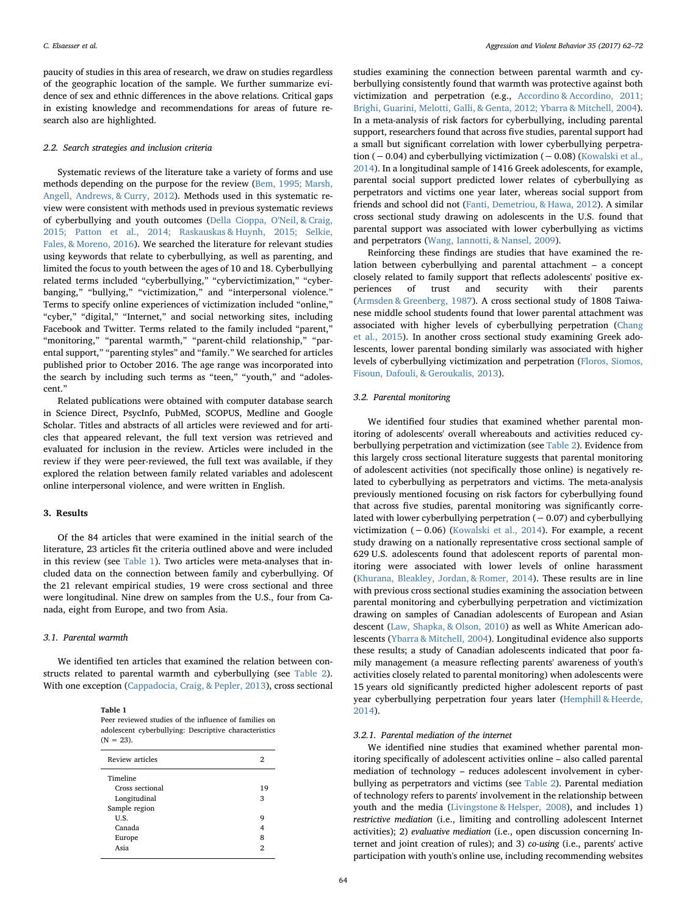paucity of studies in this area of research, we draw on studies regardless of the geographic location of the sample. We further summarize evidence of sex and ethnic differences in the above relations. Critical gaps in existing knowledge and recommendations for areas of future research also are highlighted.

#### 2.2. Search strategies and inclusion criteria

Systematic reviews of the literature take a variety of forms and use methods depending on the purpose for the review [\(Bem, 1995; Marsh,](#page-8-18) [Angell, Andrews, & Curry, 2012](#page-8-18)). Methods used in this systematic review were consistent with methods used in previous systematic reviews of cyberbullying and youth outcomes [\(Della Cioppa, O'Neil, & Craig,](#page-8-19) [2015; Patton et al., 2014; Raskauskas & Huynh, 2015; Selkie,](#page-8-19) [Fales, & Moreno, 2016](#page-8-19)). We searched the literature for relevant studies using keywords that relate to cyberbullying, as well as parenting, and limited the focus to youth between the ages of 10 and 18. Cyberbullying related terms included "cyberbullying," "cybervictimization," "cyberbanging," "bullying," "victimization," and "interpersonal violence." Terms to specify online experiences of victimization included "online," "cyber," "digital," "Internet," and social networking sites, including Facebook and Twitter. Terms related to the family included "parent," "monitoring," "parental warmth," "parent-child relationship," "parental support," "parenting styles" and "family." We searched for articles published prior to October 2016. The age range was incorporated into the search by including such terms as "teen," "youth," and "adolescent."

Related publications were obtained with computer database search in Science Direct, PsycInfo, PubMed, SCOPUS, Medline and Google Scholar. Titles and abstracts of all articles were reviewed and for articles that appeared relevant, the full text version was retrieved and evaluated for inclusion in the review. Articles were included in the review if they were peer-reviewed, the full text was available, if they explored the relation between family related variables and adolescent online interpersonal violence, and were written in English.

#### 3. Results

Of the 84 articles that were examined in the initial search of the literature, 23 articles fit the criteria outlined above and were included in this review (see [Table 1](#page-2-0)). Two articles were meta-analyses that included data on the connection between family and cyberbullying. Of the 21 relevant empirical studies, 19 were cross sectional and three were longitudinal. Nine drew on samples from the U.S., four from Canada, eight from Europe, and two from Asia.

#### 3.1. Parental warmth

We identified ten articles that examined the relation between constructs related to parental warmth and cyberbullying (see [Table 2](#page-3-0)). With one exception ([Cappadocia, Craig, & Pepler, 2013\)](#page-8-20), cross sectional

<span id="page-2-0"></span>Table 1

| Peer reviewed studies of the influence of families on |  |
|-------------------------------------------------------|--|
| adolescent cyberbullying: Descriptive characteristics |  |
| $(N = 23)$ .                                          |  |

| Review articles | 2  |
|-----------------|----|
| Timeline        |    |
| Cross sectional | 19 |
| Longitudinal    | 3  |
| Sample region   |    |
| U.S.            | 9  |
| Canada          | 4  |
| Europe          | 8  |
| Asia            | 2  |

studies examining the connection between parental warmth and cyberbullying consistently found that warmth was protective against both victimization and perpetration (e.g., [Accordino & Accordino, 2011;](#page-8-21) [Brighi, Guarini, Melotti, Galli, & Genta, 2012; Ybarra & Mitchell, 2004](#page-8-21)). In a meta-analysis of risk factors for cyberbullying, including parental support, researchers found that across five studies, parental support had a small but significant correlation with lower cyberbullying perpetration (−0.04) and cyberbullying victimization (−0.08) [\(Kowalski et al.,](#page-9-11) [2014\)](#page-9-11). In a longitudinal sample of 1416 Greek adolescents, for example, parental social support predicted lower relates of cyberbullying as perpetrators and victims one year later, whereas social support from friends and school did not [\(Fanti, Demetriou, & Hawa, 2012\)](#page-8-22). A similar cross sectional study drawing on adolescents in the U.S. found that parental support was associated with lower cyberbullying as victims and perpetrators [\(Wang, Iannotti, & Nansel, 2009\)](#page-10-0).

Reinforcing these findings are studies that have examined the relation between cyberbullying and parental attachment – a concept closely related to family support that reflects adolescents' positive experiences of trust and security with their parents ([Armsden & Greenberg, 1987](#page-8-23)). A cross sectional study of 1808 Taiwanese middle school students found that lower parental attachment was associated with higher levels of cyberbullying perpetration [\(Chang](#page-8-24) [et al., 2015](#page-8-24)). In another cross sectional study examining Greek adolescents, lower parental bonding similarly was associated with higher levels of cyberbullying victimization and perpetration ([Floros, Siomos,](#page-8-25) [Fisoun, Dafouli, & Geroukalis, 2013](#page-8-25)).

#### 3.2. Parental monitoring

We identified four studies that examined whether parental monitoring of adolescents' overall whereabouts and activities reduced cyberbullying perpetration and victimization (see [Table 2\)](#page-3-0). Evidence from this largely cross sectional literature suggests that parental monitoring of adolescent activities (not specifically those online) is negatively related to cyberbullying as perpetrators and victims. The meta-analysis previously mentioned focusing on risk factors for cyberbullying found that across five studies, parental monitoring was significantly correlated with lower cyberbullying perpetration (−0.07) and cyberbullying victimization (−0.06) ([Kowalski et al., 2014\)](#page-9-11). For example, a recent study drawing on a nationally representative cross sectional sample of 629 U.S. adolescents found that adolescent reports of parental monitoring were associated with lower levels of online harassment ([Khurana, Bleakley, Jordan, & Romer, 2014](#page-9-12)). These results are in line with previous cross sectional studies examining the association between parental monitoring and cyberbullying perpetration and victimization drawing on samples of Canadian adolescents of European and Asian descent ([Law, Shapka, & Olson, 2010](#page-9-13)) as well as White American adolescents [\(Ybarra & Mitchell, 2004](#page-10-1)). Longitudinal evidence also supports these results; a study of Canadian adolescents indicated that poor family management (a measure reflecting parents' awareness of youth's activities closely related to parental monitoring) when adolescents were 15 years old significantly predicted higher adolescent reports of past year cyberbullying perpetration four years later ([Hemphill & Heerde,](#page-8-26) [2014\)](#page-8-26).

#### 3.2.1. Parental mediation of the internet

We identified nine studies that examined whether parental monitoring specifically of adolescent activities online – also called parental mediation of technology – reduces adolescent involvement in cyberbullying as perpetrators and victims (see [Table 2\)](#page-3-0). Parental mediation of technology refers to parents' involvement in the relationship between youth and the media [\(Livingstone & Helsper, 2008](#page-9-14)), and includes 1) restrictive mediation (i.e., limiting and controlling adolescent Internet activities); 2) evaluative mediation (i.e., open discussion concerning Internet and joint creation of rules); and 3) co-using (i.e., parents' active participation with youth's online use, including recommending websites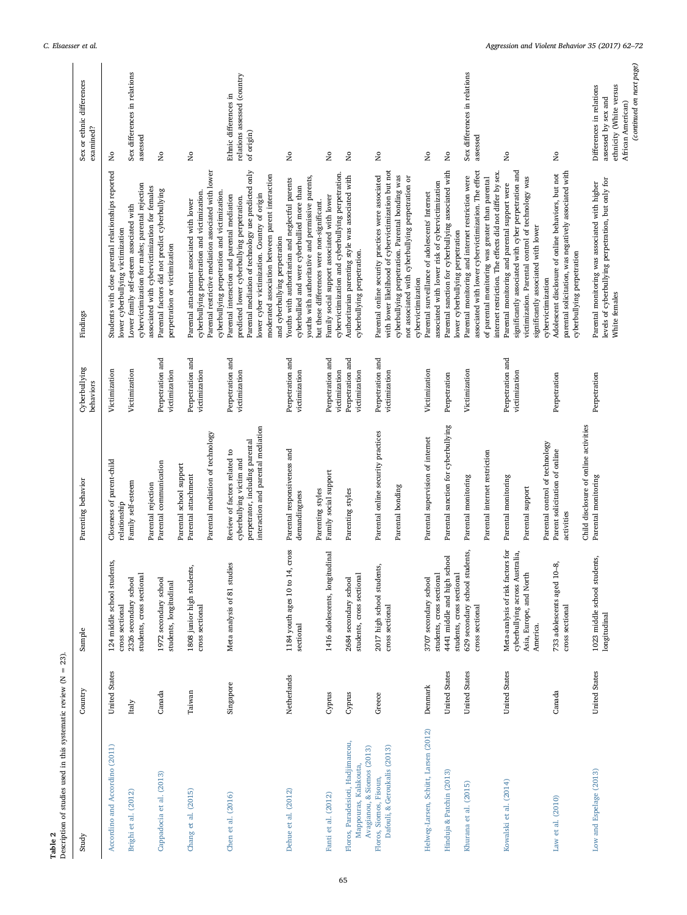<span id="page-3-0"></span>

| Description of studies used in this systematic review $(N = 23)$ .<br>Table 2 |               |                                                          |                                                                 |                                   |                                                                                                  |                                        |
|-------------------------------------------------------------------------------|---------------|----------------------------------------------------------|-----------------------------------------------------------------|-----------------------------------|--------------------------------------------------------------------------------------------------|----------------------------------------|
| Study                                                                         | Country       | Sample                                                   | Parenting behavior                                              | Cyberbullying<br>behaviors        | Findings                                                                                         | Sex or ethnic differences<br>examined? |
| Accordino and Accordino (2011)                                                | United States | 124 middle school students,                              | Closeness of parent-child                                       | Victimization                     | Students with close parental relationships reported                                              | $\mathsf{S}^{\mathsf{o}}$              |
| Brighi et al. (2012)                                                          | Italy         | 2326 secondary school<br>cross sectional                 | Family self-esteem<br>relationship                              | Victimization                     | Lower family self-esteem associated with<br>lower cyberbullying victimization                    | Sex differences in relations           |
|                                                                               |               | students, cross sectional                                |                                                                 |                                   | cybervictimization for males; parental rejection                                                 | assessed                               |
|                                                                               |               |                                                          | Parental rejection                                              |                                   | associated with cybervictimization for females                                                   |                                        |
| Cappadocia et al. (2013)                                                      | Canada        | 1972 secondary school                                    | Parental communication                                          | Perpetration and                  | Parental factors did not predict cyberbullying                                                   | $\overline{\mathsf{z}}$                |
|                                                                               |               | students, longitudinal                                   | Parental school support                                         | victimization                     | perpetration or victimization                                                                    |                                        |
| Chang et al. (2015)                                                           | Taiwan        | ents,<br>1808 junior high stud                           | Parental attachment                                             | Perpetration and                  | Parental attachment associated with lower                                                        | $\frac{1}{2}$                          |
|                                                                               |               | cross sectional                                          |                                                                 | victimization                     | cyberbullying perpetration and victimization.                                                    |                                        |
|                                                                               |               |                                                          | Parental mediation of technology                                |                                   | Parental restrictive mediation associated with lower                                             |                                        |
| Chen et al. (2016)                                                            | Singapore     | Meta analysis of 81 studies                              | Review of factors related to                                    | Perpetration and                  | cyberbullying perpetration and victimization.<br>Parental interaction and parental mediation     | Ethnic differences in                  |
|                                                                               |               |                                                          | cyberbullying victim and                                        | victimization                     | predicted lower cyberbullying perpetration.                                                      | relations assessed (country            |
|                                                                               |               |                                                          | perpetrator, including parental                                 |                                   | Parental mediation of technology use predicted only                                              | of origin)                             |
|                                                                               |               |                                                          | interaction and parental mediation                              |                                   | lower cyber victimization. Country of origin                                                     |                                        |
|                                                                               |               |                                                          |                                                                 |                                   | moderated association between parent interaction                                                 |                                        |
|                                                                               |               |                                                          |                                                                 |                                   | and cyberbullying perpetration                                                                   |                                        |
| Dehue et al. (2012)                                                           | Netherlands   | 1184 youth ages 10 to 14, cross<br>sectional             | Parental responsiveness and<br>demandingness                    | Perpetration and<br>victimization | Youths with authoritarian and neglectful parents<br>cyberbullied and were cyberbullied more than | $\overline{\mathsf{x}}$                |
|                                                                               |               |                                                          |                                                                 |                                   | youths with authoritative and permissive parents,                                                |                                        |
|                                                                               |               |                                                          | Parenting styles                                                |                                   | but these differences were non-significant.                                                      |                                        |
| Fanti et al. (2012)                                                           | Cyprus        | 1416 adolescents, longitudinal                           | Family social support                                           | Perpetration and                  | Family social support associated with lower                                                      | $\mathop{\mathsf{S}}\nolimits$         |
|                                                                               |               |                                                          |                                                                 | victimization                     | cybervictimization and cyberbullying perpetration.                                               |                                        |
| Floros, Paradeisioti, Hadjimarcou,                                            | Cyprus        | 2684 secondary school                                    | Parenting styles                                                | Perpetration and                  | Authoritarian parenting style was associated with                                                | $\overline{\mathsf{x}}$                |
| Avagianou, & Siomos (2013)<br>Mappouras, Kalakouta                            |               | students, cross sectional                                |                                                                 | victimization                     | cyberbullying perpetration.                                                                      |                                        |
| Floros, Siomos, Fisoun,                                                       | Greece        | 2017 high school students,                               | Parental online security practices                              | Perpetration and                  | Parental online security practices were associated                                               | $\overline{\mathsf{x}}$                |
| Dafouli, & Geroukalis (2013)                                                  |               | cross sectional                                          |                                                                 | victimization                     | with lower likelihood of cybervictimization but not                                              |                                        |
|                                                                               |               |                                                          | Parental bonding                                                |                                   | cyberbullying perpetration. Parental bonding was                                                 |                                        |
|                                                                               |               |                                                          |                                                                 |                                   | not associated with cyberbullying perpetration or                                                |                                        |
|                                                                               |               |                                                          |                                                                 |                                   | cybervictimization                                                                               |                                        |
| Helweg-Larsen, Schütt, Larsen (2012)                                          | Denmark       | 3707 secondary school                                    | Parental supervision of internet                                | Victimization                     | Parental surveillance of adolescents' Internet                                                   | $\frac{1}{2}$                          |
|                                                                               |               | students, cross sectional                                |                                                                 |                                   | associated with lower risk of cybervictimization                                                 |                                        |
| Hinduja & Patchin (2013)                                                      | United States | 4441 middle and high school<br>students, cross sectional | Parental sanction for cyberbullying                             | Perpetration                      | Parental sanction for cyberbullying associated with<br>lower cyberbullying perpetration          | $\overline{\mathsf{x}}$                |
| Khurana et al. (2015)                                                         | United States | students,<br>629 secondary school                        | Parental monitoring                                             | Victimization                     | Parental monitoring and internet restriction were                                                | Sex differences in relations           |
|                                                                               |               | cross sectional                                          |                                                                 |                                   | associated with lower cybervictimization. The effect                                             | assessed                               |
|                                                                               |               |                                                          | Parental internet restriction                                   |                                   | of parental monitoring was greater than parental                                                 |                                        |
|                                                                               |               |                                                          |                                                                 |                                   | internet restriction. The effects did not differ by sex.                                         |                                        |
| Kowalski et al. (2014)                                                        | United States | Meta-analysis of risk factors for                        | Parental monitoring                                             | Perpetration and                  | Parental monitoring and parental support were                                                    | ρS                                     |
|                                                                               |               | cyberbullying across Australia,                          |                                                                 | victimization                     | significantly associated with cyber perpetration and                                             |                                        |
|                                                                               |               | Asia, Europe, and North                                  | Parental support                                                |                                   | victimization. Parental control of technology was                                                |                                        |
|                                                                               |               | America.                                                 |                                                                 |                                   | significantly associated with lower                                                              |                                        |
| Law et al. (2010)                                                             | Canada        | 733 adolescents aged 10-8,                               | Parental control of technology<br>Parent solicitation of online | Perpetration                      | Adolescent disclosure of online behaviors, but not<br>cybervictimization                         | Σo                                     |
|                                                                               |               | cross sectional                                          | activities                                                      |                                   | parental solicitation, was negatively associated with                                            |                                        |
|                                                                               |               |                                                          |                                                                 |                                   | cyberbullying perpetration                                                                       |                                        |
|                                                                               |               |                                                          | Child disclosure of online activities                           |                                   |                                                                                                  |                                        |
| Low and Espelage (2013)                                                       | United States | 1023 middle school students,                             | Parental monitoring                                             | Perpetration                      | Parental monitoring was associated with higher                                                   | Differences in relations               |
|                                                                               |               | longitudinal                                             |                                                                 |                                   | levels of cyberbullying perpetration, but only for                                               | assessed by sex and                    |
|                                                                               |               |                                                          |                                                                 |                                   | White females                                                                                    | ethnicity (White versus                |
|                                                                               |               |                                                          |                                                                 |                                   |                                                                                                  | African American)                      |
|                                                                               |               |                                                          |                                                                 |                                   |                                                                                                  | (continued on next page)               |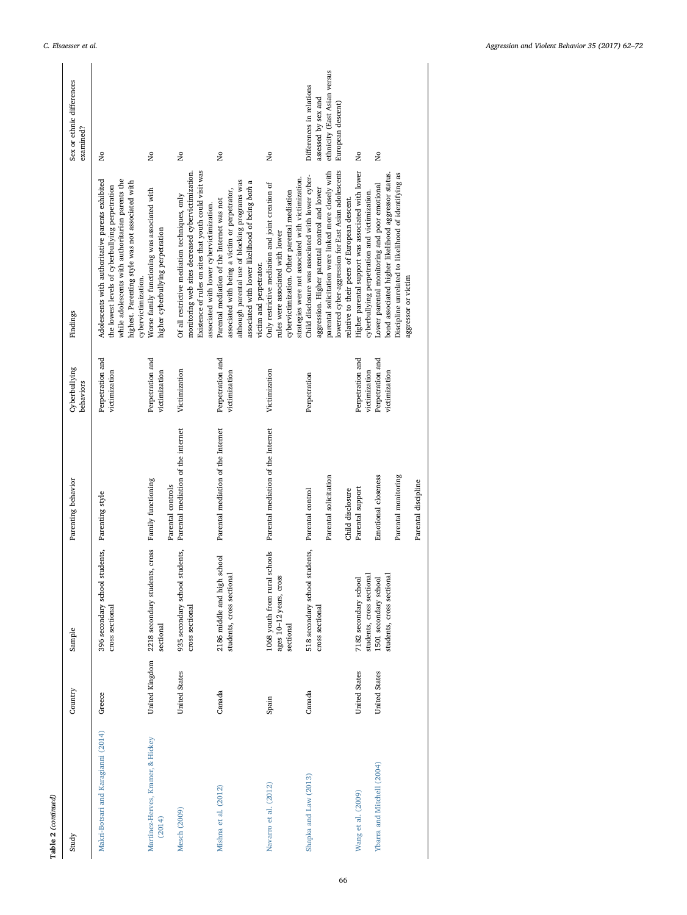| ٦ |
|---|
| c |
|   |

| Study                                            |                                |                                                                                                          |                                                                                       |                                                                        |                                                                                                                                                                                                                                                                                          |                                                                                                      |
|--------------------------------------------------|--------------------------------|----------------------------------------------------------------------------------------------------------|---------------------------------------------------------------------------------------|------------------------------------------------------------------------|------------------------------------------------------------------------------------------------------------------------------------------------------------------------------------------------------------------------------------------------------------------------------------------|------------------------------------------------------------------------------------------------------|
|                                                  | Country                        | Sample                                                                                                   | Parenting behavior                                                                    | Cyberbullying<br>behaviors                                             | Findings                                                                                                                                                                                                                                                                                 | Sex or ethnic differences<br>examined?                                                               |
| Makri-Botsari and Karagianni (2014)              | Greece                         | 396 secondary school students,<br>cross sectional                                                        | Parenting style                                                                       | Perpetration and<br>victimization                                      | while adolescents with authoritarian parents the<br>Adolescents with authoritative parents exhibited<br>highest. Parenting style was not associated with<br>the lowest levels of cyberbullying perpetration<br>cybervictimization.                                                       | $_{\rm No}$                                                                                          |
| Martinez-Herves, Kramer, & Hickey<br>(2014)      | United Kingdom                 | 2218 secondary students, cross<br>sectional                                                              | Family functioning<br>Parental controls                                               | Perpetration and<br>victimization                                      | Worse family functioning was associated with<br>higher cyberbullying perpetration                                                                                                                                                                                                        | $\overline{\mathsf{x}}$                                                                              |
| Mesch (2009)                                     | United States                  | 935 secondary school students,<br>cross sectional                                                        | Parental mediation of the internet                                                    | Victimization                                                          | Existence of rules on sites that youth could visit was<br>monitoring web sites decreased cybervictimization.<br>Of all restrictive mediation techniques, only<br>associated with lower cybervictimization.                                                                               | $_{\rm N_o}$                                                                                         |
| Mishna et al. (2012)                             | Canada                         | school<br>students, cross sectional<br>2186 middle and high                                              | Parental mediation of the Internet                                                    | Perpetration and<br>victimization                                      | although parental use of blocking programs was<br>associated with lower likelihood of being both a<br>associated with being a victim or perpetrator,<br>Parental mediation of the Internet was not<br>victim and perpetrator.                                                            | $\frac{1}{2}$                                                                                        |
| Navarro et al. (2012)                            | Spain                          | ages 10-12 years, cross<br>1068 youth from rural<br>sectional                                            | schools Parental mediation of the Internet                                            | Victimization                                                          | strategies were not associated with victimization.<br>Only restrictive mediation and joint creation of<br>cybervictimization. Other parental mediation<br>rules were associated with lower                                                                                               | $\overline{\mathsf{x}}$                                                                              |
| Shapka and Law (2013)                            | Canada                         | 518 secondary school students,<br>cross sectional                                                        | Parental solicitation<br>Child disclosure<br>Parental control                         | Perpetration                                                           | lowered cyber-aggression for East Asian adolescents<br>parental solicitation were linked more closely with<br>Child disclosure was associated with lower cyber-<br>aggression. Higher parental control and lower<br>relative to their peers of European descent.                         | ethnicity (East Asian versus<br>Differences in relations<br>assessed by sex and<br>European descent) |
| Ybarra and Mitchell (2004)<br>Wang et al. (2009) | United States<br>United States | 7182 secondary school<br>students, cross sectional<br>1501 secondary school<br>students, cross sectional | Emotional closeness<br>Parental monitoring<br>Parental discipline<br>Parental support | Perpetration and<br>Perpetration and<br>victimization<br>victimization | Higher parental support was associated with lower<br>bond associated higher likelihood aggressor status.<br>Discipline unrelated to likelihood of identifying as<br>Lower parental monitoring and poor emotional<br>cyberbullying perpetration and victimization.<br>aggressor or victim | $\frac{1}{2}$<br>$\frac{1}{2}$                                                                       |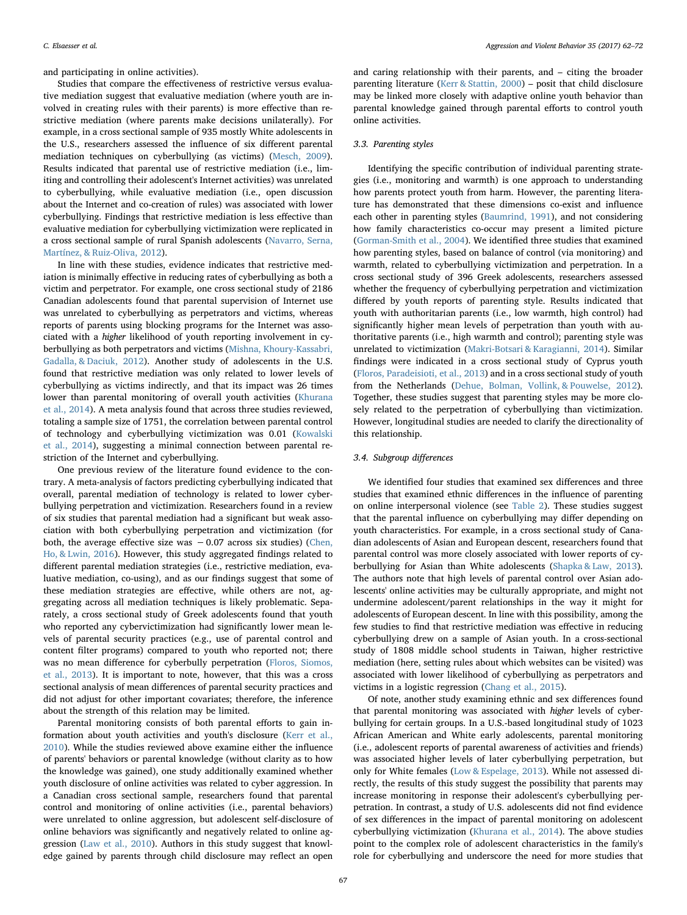and participating in online activities).

Studies that compare the effectiveness of restrictive versus evaluative mediation suggest that evaluative mediation (where youth are involved in creating rules with their parents) is more effective than restrictive mediation (where parents make decisions unilaterally). For example, in a cross sectional sample of 935 mostly White adolescents in the U.S., researchers assessed the influence of six different parental mediation techniques on cyberbullying (as victims) [\(Mesch, 2009](#page-9-18)). Results indicated that parental use of restrictive mediation (i.e., limiting and controlling their adolescent's Internet activities) was unrelated to cyberbullying, while evaluative mediation (i.e., open discussion about the Internet and co-creation of rules) was associated with lower cyberbullying. Findings that restrictive mediation is less effective than evaluative mediation for cyberbullying victimization were replicated in a cross sectional sample of rural Spanish adolescents ([Navarro, Serna,](#page-9-20) [Martínez, & Ruiz-Oliva, 2012](#page-9-20)).

In line with these studies, evidence indicates that restrictive mediation is minimally effective in reducing rates of cyberbullying as both a victim and perpetrator. For example, one cross sectional study of 2186 Canadian adolescents found that parental supervision of Internet use was unrelated to cyberbullying as perpetrators and victims, whereas reports of parents using blocking programs for the Internet was associated with a higher likelihood of youth reporting involvement in cyberbullying as both perpetrators and victims [\(Mishna, Khoury-Kassabri,](#page-9-19) [Gadalla, & Daciuk, 2012\)](#page-9-19). Another study of adolescents in the U.S. found that restrictive mediation was only related to lower levels of cyberbullying as victims indirectly, and that its impact was 26 times lower than parental monitoring of overall youth activities ([Khurana](#page-9-12) [et al., 2014\)](#page-9-12). A meta analysis found that across three studies reviewed, totaling a sample size of 1751, the correlation between parental control of technology and cyberbullying victimization was 0.01 ([Kowalski](#page-9-11) [et al., 2014](#page-9-11)), suggesting a minimal connection between parental restriction of the Internet and cyberbullying.

One previous review of the literature found evidence to the contrary. A meta-analysis of factors predicting cyberbullying indicated that overall, parental mediation of technology is related to lower cyberbullying perpetration and victimization. Researchers found in a review of six studies that parental mediation had a significant but weak association with both cyberbullying perpetration and victimization (for both, the average effective size was −0.07 across six studies) [\(Chen,](#page-8-28) [Ho, & Lwin, 2016](#page-8-28)). However, this study aggregated findings related to different parental mediation strategies (i.e., restrictive mediation, evaluative mediation, co-using), and as our findings suggest that some of these mediation strategies are effective, while others are not, aggregating across all mediation techniques is likely problematic. Separately, a cross sectional study of Greek adolescents found that youth who reported any cybervictimization had significantly lower mean levels of parental security practices (e.g., use of parental control and content filter programs) compared to youth who reported not; there was no mean difference for cyberbully perpetration ([Floros, Siomos,](#page-8-25) [et al., 2013\)](#page-8-25). It is important to note, however, that this was a cross sectional analysis of mean differences of parental security practices and did not adjust for other important covariates; therefore, the inference about the strength of this relation may be limited.

Parental monitoring consists of both parental efforts to gain information about youth activities and youth's disclosure [\(Kerr et al.,](#page-9-8) [2010\)](#page-9-8). While the studies reviewed above examine either the influence of parents' behaviors or parental knowledge (without clarity as to how the knowledge was gained), one study additionally examined whether youth disclosure of online activities was related to cyber aggression. In a Canadian cross sectional sample, researchers found that parental control and monitoring of online activities (i.e., parental behaviors) were unrelated to online aggression, but adolescent self-disclosure of online behaviors was significantly and negatively related to online aggression [\(Law et al., 2010](#page-9-13)). Authors in this study suggest that knowledge gained by parents through child disclosure may reflect an open

and caring relationship with their parents, and – citing the broader parenting literature [\(Kerr & Stattin, 2000](#page-8-9)) – posit that child disclosure may be linked more closely with adaptive online youth behavior than parental knowledge gained through parental efforts to control youth online activities.

#### 3.3. Parenting styles

Identifying the specific contribution of individual parenting strategies (i.e., monitoring and warmth) is one approach to understanding how parents protect youth from harm. However, the parenting literature has demonstrated that these dimensions co-exist and influence each other in parenting styles ([Baumrind, 1991\)](#page-8-10), and not considering how family characteristics co-occur may present a limited picture ([Gorman-Smith et al., 2004](#page-8-12)). We identified three studies that examined how parenting styles, based on balance of control (via monitoring) and warmth, related to cyberbullying victimization and perpetration. In a cross sectional study of 396 Greek adolescents, researchers assessed whether the frequency of cyberbullying perpetration and victimization differed by youth reports of parenting style. Results indicated that youth with authoritarian parents (i.e., low warmth, high control) had significantly higher mean levels of perpetration than youth with authoritative parents (i.e., high warmth and control); parenting style was unrelated to victimization ([Makri-Botsari & Karagianni, 2014](#page-9-16)). Similar findings were indicated in a cross sectional study of Cyprus youth ([Floros, Paradeisioti, et al., 2013](#page-8-30)) and in a cross sectional study of youth from the Netherlands ([Dehue, Bolman, Vollink, & Pouwelse, 2012](#page-8-29)). Together, these studies suggest that parenting styles may be more closely related to the perpetration of cyberbullying than victimization. However, longitudinal studies are needed to clarify the directionality of this relationship.

#### 3.4. Subgroup differences

We identified four studies that examined sex differences and three studies that examined ethnic differences in the influence of parenting on online interpersonal violence (see [Table 2\)](#page-3-0). These studies suggest that the parental influence on cyberbullying may differ depending on youth characteristics. For example, in a cross sectional study of Canadian adolescents of Asian and European descent, researchers found that parental control was more closely associated with lower reports of cyberbullying for Asian than White adolescents ([Shapka & Law, 2013](#page-9-21)). The authors note that high levels of parental control over Asian adolescents' online activities may be culturally appropriate, and might not undermine adolescent/parent relationships in the way it might for adolescents of European descent. In line with this possibility, among the few studies to find that restrictive mediation was effective in reducing cyberbullying drew on a sample of Asian youth. In a cross-sectional study of 1808 middle school students in Taiwan, higher restrictive mediation (here, setting rules about which websites can be visited) was associated with lower likelihood of cyberbullying as perpetrators and victims in a logistic regression [\(Chang et al., 2015](#page-8-24)).

Of note, another study examining ethnic and sex differences found that parental monitoring was associated with higher levels of cyberbullying for certain groups. In a U.S.-based longitudinal study of 1023 African American and White early adolescents, parental monitoring (i.e., adolescent reports of parental awareness of activities and friends) was associated higher levels of later cyberbullying perpetration, but only for White females ([Low & Espelage, 2013\)](#page-9-15). While not assessed directly, the results of this study suggest the possibility that parents may increase monitoring in response their adolescent's cyberbullying perpetration. In contrast, a study of U.S. adolescents did not find evidence of sex differences in the impact of parental monitoring on adolescent cyberbullying victimization [\(Khurana et al., 2014\)](#page-9-12). The above studies point to the complex role of adolescent characteristics in the family's role for cyberbullying and underscore the need for more studies that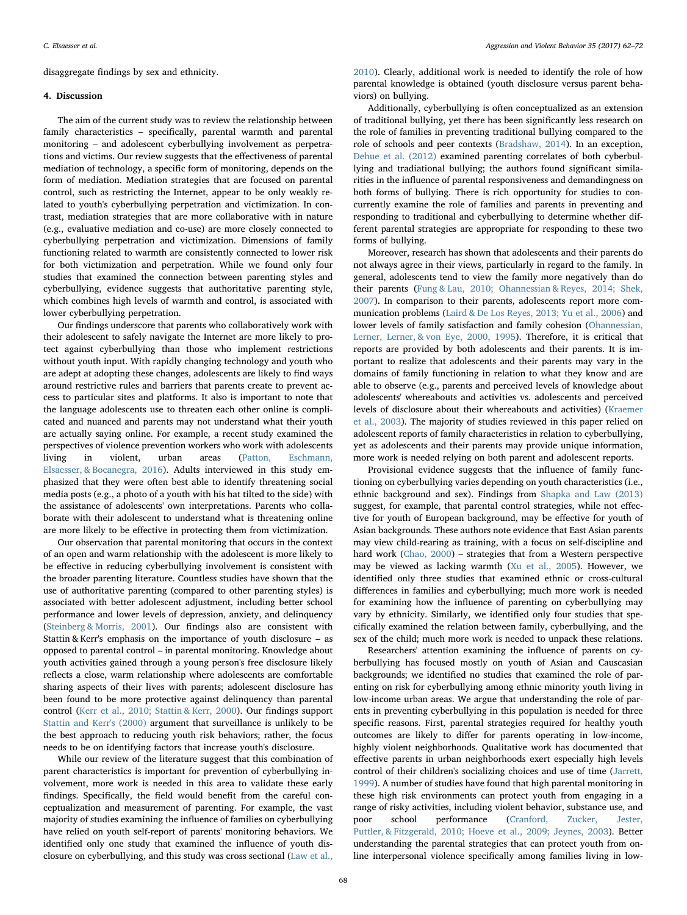disaggregate findings by sex and ethnicity.

#### 4. Discussion

The aim of the current study was to review the relationship between family characteristics – specifically, parental warmth and parental monitoring – and adolescent cyberbullying involvement as perpetrations and victims. Our review suggests that the effectiveness of parental mediation of technology, a specific form of monitoring, depends on the form of mediation. Mediation strategies that are focused on parental control, such as restricting the Internet, appear to be only weakly related to youth's cyberbullying perpetration and victimization. In contrast, mediation strategies that are more collaborative with in nature (e.g., evaluative mediation and co-use) are more closely connected to cyberbullying perpetration and victimization. Dimensions of family functioning related to warmth are consistently connected to lower risk for both victimization and perpetration. While we found only four studies that examined the connection between parenting styles and cyberbullying, evidence suggests that authoritative parenting style, which combines high levels of warmth and control, is associated with lower cyberbullying perpetration.

Our findings underscore that parents who collaboratively work with their adolescent to safely navigate the Internet are more likely to protect against cyberbullying than those who implement restrictions without youth input. With rapidly changing technology and youth who are adept at adopting these changes, adolescents are likely to find ways around restrictive rules and barriers that parents create to prevent access to particular sites and platforms. It also is important to note that the language adolescents use to threaten each other online is complicated and nuanced and parents may not understand what their youth are actually saying online. For example, a recent study examined the perspectives of violence prevention workers who work with adolescents living in violent, urban areas ([Patton, Eschmann,](#page-9-22) [Elsaesser, & Bocanegra, 2016](#page-9-22)). Adults interviewed in this study emphasized that they were often best able to identify threatening social media posts (e.g., a photo of a youth with his hat tilted to the side) with the assistance of adolescents' own interpretations. Parents who collaborate with their adolescent to understand what is threatening online are more likely to be effective in protecting them from victimization.

Our observation that parental monitoring that occurs in the context of an open and warm relationship with the adolescent is more likely to be effective in reducing cyberbullying involvement is consistent with the broader parenting literature. Countless studies have shown that the use of authoritative parenting (compared to other parenting styles) is associated with better adolescent adjustment, including better school performance and lower levels of depression, anxiety, and delinquency ([Steinberg & Morris, 2001\)](#page-9-23). Our findings also are consistent with Stattin & Kerr's emphasis on the importance of youth disclosure – as opposed to parental control – in parental monitoring. Knowledge about youth activities gained through a young person's free disclosure likely reflects a close, warm relationship where adolescents are comfortable sharing aspects of their lives with parents; adolescent disclosure has been found to be more protective against delinquency than parental control ([Kerr et al., 2010; Stattin & Kerr, 2000](#page-9-8)). Our findings support [Stattin and Kerr's \(2000\)](#page-9-7) argument that surveillance is unlikely to be the best approach to reducing youth risk behaviors; rather, the focus needs to be on identifying factors that increase youth's disclosure.

While our review of the literature suggest that this combination of parent characteristics is important for prevention of cyberbullying involvement, more work is needed in this area to validate these early findings. Specifically, the field would benefit from the careful conceptualization and measurement of parenting. For example, the vast majority of studies examining the influence of families on cyberbullying have relied on youth self-report of parents' monitoring behaviors. We identified only one study that examined the influence of youth disclosure on cyberbullying, and this study was cross sectional [\(Law et al.,](#page-9-13)

[2010\)](#page-9-13). Clearly, additional work is needed to identify the role of how parental knowledge is obtained (youth disclosure versus parent behaviors) on bullying.

Additionally, cyberbullying is often conceptualized as an extension of traditional bullying, yet there has been significantly less research on the role of families in preventing traditional bullying compared to the role of schools and peer contexts ([Bradshaw, 2014\)](#page-8-33). In an exception, [Dehue et al. \(2012\)](#page-8-29) examined parenting correlates of both cyberbullying and tradiational bullying; the authors found significant similarities in the influence of parental responsiveness and demandingness on both forms of bullying. There is rich opportunity for studies to concurrently examine the role of families and parents in preventing and responding to traditional and cyberbullying to determine whether different parental strategies are appropriate for responding to these two forms of bullying.

Moreover, research has shown that adolescents and their parents do not always agree in their views, particularly in regard to the family. In general, adolescents tend to view the family more negatively than do their parents ([Fung & Lau, 2010; Ohannessian & Reyes, 2014; Shek,](#page-8-34) [2007\)](#page-8-34). In comparison to their parents, adolescents report more communication problems ([Laird & De Los Reyes, 2013; Yu et al., 2006](#page-9-24)) and lower levels of family satisfaction and family cohesion ([Ohannessian,](#page-9-25) [Lerner, Lerner, & von Eye, 2000, 1995](#page-9-25)). Therefore, it is critical that reports are provided by both adolescents and their parents. It is important to realize that adolescents and their parents may vary in the domains of family functioning in relation to what they know and are able to observe (e.g., parents and perceived levels of knowledge about adolescents' whereabouts and activities vs. adolescents and perceived levels of disclosure about their whereabouts and activities) ([Kraemer](#page-9-26) [et al., 2003\)](#page-9-26). The majority of studies reviewed in this paper relied on adolescent reports of family characteristics in relation to cyberbullying, yet as adolescents and their parents may provide unique information, more work is needed relying on both parent and adolescent reports.

Provisional evidence suggests that the influence of family functioning on cyberbullying varies depending on youth characteristics (i.e., ethnic background and sex). Findings from [Shapka and Law \(2013\)](#page-9-21) suggest, for example, that parental control strategies, while not effective for youth of European background, may be effective for youth of Asian backgrounds. These authors note evidence that East Asian parents may view child-rearing as training, with a focus on self-discipline and hard work [\(Chao, 2000](#page-8-35)) – strategies that from a Western perspective may be viewed as lacking warmth ([Xu et al., 2005](#page-10-2)). However, we identified only three studies that examined ethnic or cross-cultural differences in families and cyberbullying; much more work is needed for examining how the influence of parenting on cyberbullying may vary by ethnicity. Similarly, we identified only four studies that specifically examined the relation between family, cyberbullying, and the sex of the child; much more work is needed to unpack these relations.

Researchers' attention examining the influence of parents on cyberbullying has focused mostly on youth of Asian and Causcasian backgrounds; we identified no studies that examined the role of parenting on risk for cyberbullying among ethnic minority youth living in low-income urban areas. We argue that understanding the role of parents in preventing cyberbullying in this population is needed for three specific reasons. First, parental strategies required for healthy youth outcomes are likely to differ for parents operating in low-income, highly violent neighborhoods. Qualitative work has documented that effective parents in urban neighborhoods exert especially high levels control of their children's socializing choices and use of time ([Jarrett,](#page-8-36) [1999\)](#page-8-36). A number of studies have found that high parental monitoring in these high risk environments can protect youth from engaging in a range of risky activities, including violent behavior, substance use, and poor school performance [\(Cranford, Zucker, Jester,](#page-8-37) [Puttler, & Fitzgerald, 2010; Hoeve et al., 2009; Jeynes, 2003\)](#page-8-37). Better understanding the parental strategies that can protect youth from online interpersonal violence specifically among families living in low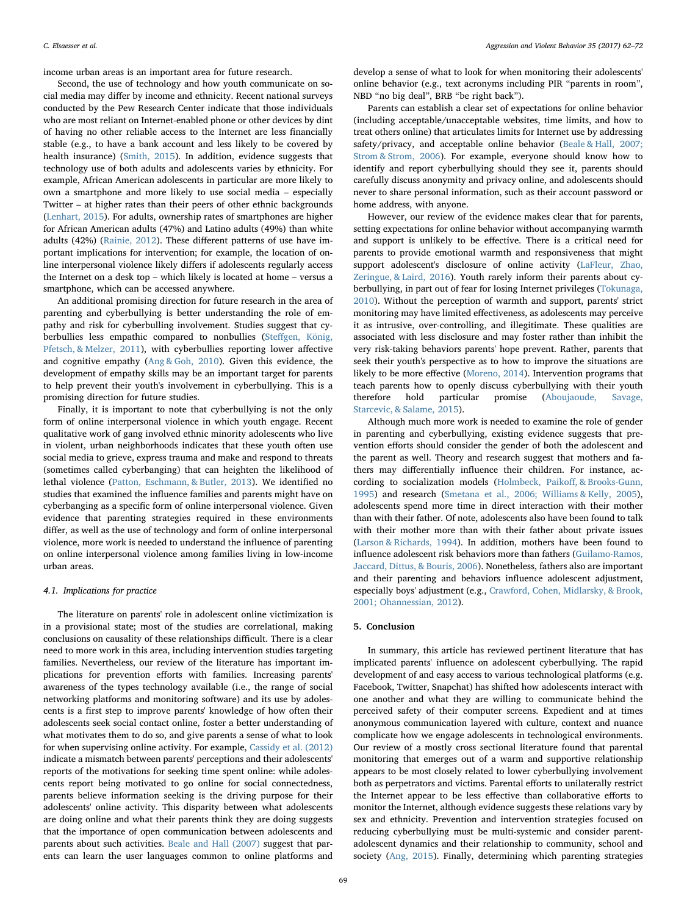income urban areas is an important area for future research.

Second, the use of technology and how youth communicate on social media may differ by income and ethnicity. Recent national surveys conducted by the Pew Research Center indicate that those individuals who are most reliant on Internet-enabled phone or other devices by dint of having no other reliable access to the Internet are less financially stable (e.g., to have a bank account and less likely to be covered by health insurance) [\(Smith, 2015\)](#page-9-27). In addition, evidence suggests that technology use of both adults and adolescents varies by ethnicity. For example, African American adolescents in particular are more likely to own a smartphone and more likely to use social media – especially Twitter – at higher rates than their peers of other ethnic backgrounds ([Lenhart, 2015](#page-9-28)). For adults, ownership rates of smartphones are higher for African American adults (47%) and Latino adults (49%) than white adults (42%) ([Rainie, 2012\)](#page-9-29). These different patterns of use have important implications for intervention; for example, the location of online interpersonal violence likely differs if adolescents regularly access the Internet on a desk top – which likely is located at home – versus a smartphone, which can be accessed anywhere.

An additional promising direction for future research in the area of parenting and cyberbullying is better understanding the role of empathy and risk for cyberbulling involvement. Studies suggest that cyberbullies less empathic compared to nonbullies (Steff[gen, König,](#page-9-30) [Pfetsch, & Melzer, 2011](#page-9-30)), with cyberbullies reporting lower affective and cognitive empathy ([Ang & Goh, 2010\)](#page-8-38). Given this evidence, the development of empathy skills may be an important target for parents to help prevent their youth's involvement in cyberbullying. This is a promising direction for future studies.

Finally, it is important to note that cyberbullying is not the only form of online interpersonal violence in which youth engage. Recent qualitative work of gang involved ethnic minority adolescents who live in violent, urban neighborhoods indicates that these youth often use social media to grieve, express trauma and make and respond to threats (sometimes called cyberbanging) that can heighten the likelihood of lethal violence [\(Patton, Eschmann, & Butler, 2013](#page-9-31)). We identified no studies that examined the influence families and parents might have on cyberbanging as a specific form of online interpersonal violence. Given evidence that parenting strategies required in these environments differ, as well as the use of technology and form of online interpersonal violence, more work is needed to understand the influence of parenting on online interpersonal violence among families living in low-income urban areas.

#### 4.1. Implications for practice

The literature on parents' role in adolescent online victimization is in a provisional state; most of the studies are correlational, making conclusions on causality of these relationships difficult. There is a clear need to more work in this area, including intervention studies targeting families. Nevertheless, our review of the literature has important implications for prevention efforts with families. Increasing parents' awareness of the types technology available (i.e., the range of social networking platforms and monitoring software) and its use by adolescents is a first step to improve parents' knowledge of how often their adolescents seek social contact online, foster a better understanding of what motivates them to do so, and give parents a sense of what to look for when supervising online activity. For example, Cassidy [et al. \(2012\)](#page-8-14) indicate a mismatch between parents' perceptions and their adolescents' reports of the motivations for seeking time spent online: while adolescents report being motivated to go online for social connectedness, parents believe information seeking is the driving purpose for their adolescents' online activity. This disparity between what adolescents are doing online and what their parents think they are doing suggests that the importance of open communication between adolescents and parents about such activities. [Beale and Hall \(2007\)](#page-8-39) suggest that parents can learn the user languages common to online platforms and

develop a sense of what to look for when monitoring their adolescents' online behavior (e.g., text acronyms including PIR "parents in room", NBD "no big deal", BRB "be right back").

Parents can establish a clear set of expectations for online behavior (including acceptable/unacceptable websites, time limits, and how to treat others online) that articulates limits for Internet use by addressing safety/privacy, and acceptable online behavior [\(Beale & Hall, 2007;](#page-8-39) [Strom & Strom, 2006\)](#page-8-39). For example, everyone should know how to identify and report cyberbullying should they see it, parents should carefully discuss anonymity and privacy online, and adolescents should never to share personal information, such as their account password or home address, with anyone.

However, our review of the evidence makes clear that for parents, setting expectations for online behavior without accompanying warmth and support is unlikely to be effective. There is a critical need for parents to provide emotional warmth and responsiveness that might support adolescent's disclosure of online activity [\(LaFleur, Zhao,](#page-9-32) [Zeringue, & Laird, 2016\)](#page-9-32). Youth rarely inform their parents about cyberbullying, in part out of fear for losing Internet privileges ([Tokunaga,](#page-9-4) [2010\)](#page-9-4). Without the perception of warmth and support, parents' strict monitoring may have limited effectiveness, as adolescents may perceive it as intrusive, over-controlling, and illegitimate. These qualities are associated with less disclosure and may foster rather than inhibit the very risk-taking behaviors parents' hope prevent. Rather, parents that seek their youth's perspective as to how to improve the situations are likely to be more effective ([Moreno, 2014](#page-9-33)). Intervention programs that teach parents how to openly discuss cyberbullying with their youth therefore hold particular promise [\(Aboujaoude, Savage,](#page-8-40) [Starcevic, & Salame, 2015\)](#page-8-40).

Although much more work is needed to examine the role of gender in parenting and cyberbullying, existing evidence suggests that prevention efforts should consider the gender of both the adolescent and the parent as well. Theory and research suggest that mothers and fathers may differentially influence their children. For instance, according to socialization models [\(Holmbeck, Paiko](#page-8-41)ff, & Brooks-Gunn, [1995\)](#page-8-41) and research ([Smetana et al., 2006; Williams & Kelly, 2005](#page-9-0)), adolescents spend more time in direct interaction with their mother than with their father. Of note, adolescents also have been found to talk with their mother more than with their father about private issues ([Larson & Richards, 1994\)](#page-9-34). In addition, mothers have been found to influence adolescent risk behaviors more than fathers [\(Guilamo-Ramos,](#page-8-42) [Jaccard, Dittus, & Bouris, 2006](#page-8-42)). Nonetheless, fathers also are important and their parenting and behaviors influence adolescent adjustment, especially boys' adjustment (e.g., [Crawford, Cohen, Midlarsky, & Brook,](#page-8-43) [2001; Ohannessian, 2012](#page-8-43)).

#### 5. Conclusion

In summary, this article has reviewed pertinent literature that has implicated parents' influence on adolescent cyberbullying. The rapid development of and easy access to various technological platforms (e.g. Facebook, Twitter, Snapchat) has shifted how adolescents interact with one another and what they are willing to communicate behind the perceived safety of their computer screens. Expedient and at times anonymous communication layered with culture, context and nuance complicate how we engage adolescents in technological environments. Our review of a mostly cross sectional literature found that parental monitoring that emerges out of a warm and supportive relationship appears to be most closely related to lower cyberbullying involvement both as perpetrators and victims. Parental efforts to unilaterally restrict the Internet appear to be less effective than collaborative efforts to monitor the Internet, although evidence suggests these relations vary by sex and ethnicity. Prevention and intervention strategies focused on reducing cyberbullying must be multi-systemic and consider parentadolescent dynamics and their relationship to community, school and society ([Ang, 2015\)](#page-8-44). Finally, determining which parenting strategies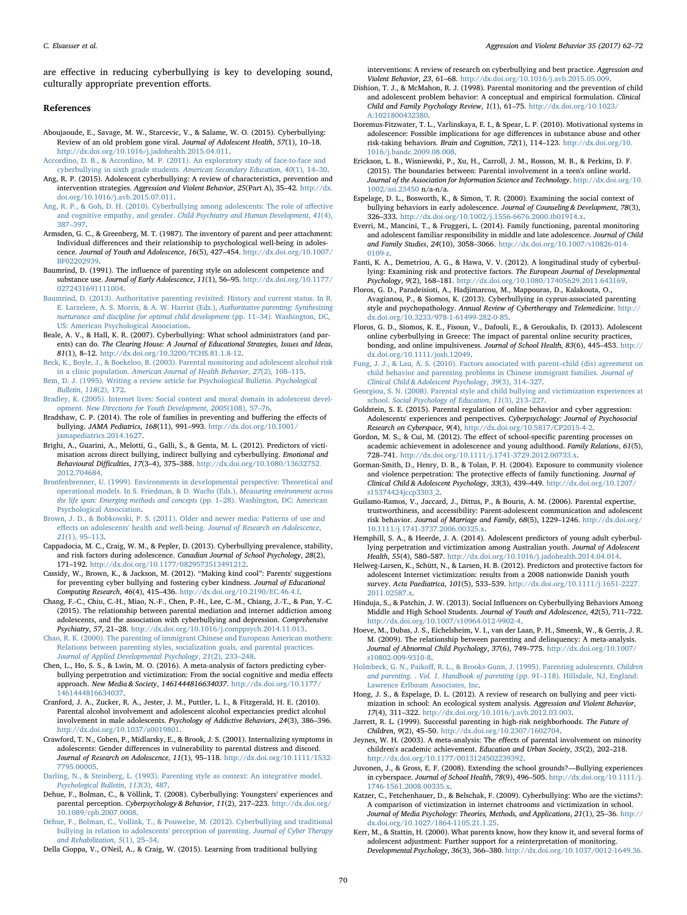are effective in reducing cyberbullying is key to developing sound, culturally appropriate prevention efforts.

#### References

- <span id="page-8-40"></span>Aboujaoude, E., Savage, M. W., Starcevic, V., & Salame, W. O. (2015). Cyberbullying: Review of an old problem gone viral. Journal of Adolescent Health, 57(1), 10–18. [http://dx.doi.org/10.1016/j.jadohealth.2015.04.011.](http://dx.doi.org/10.1016/j.jadohealth.2015.04.011)
- <span id="page-8-21"></span>[Accordino, D. B., & Accordino, M. P. \(2011\). An exploratory study of face-to-face and](http://refhub.elsevier.com/S1359-1789(17)30187-8/rf0010) [cyberbullying in sixth grade students.](http://refhub.elsevier.com/S1359-1789(17)30187-8/rf0010) American Secondary Education, 40(1), 14–30.
- <span id="page-8-44"></span>Ang, R. P. (2015). Adolescent cyberbullying: A review of characteristics, prevention and intervention strategies. Aggression and Violent Behavior, 25(Part A), 35–42. [http://dx.](http://dx.doi.org/10.1016/j.avb.2015.07.011) [doi.org/10.1016/j.avb.2015.07.011.](http://dx.doi.org/10.1016/j.avb.2015.07.011)
- <span id="page-8-38"></span>[Ang, R. P., & Goh, D. H. \(2010\). Cyberbullying among adolescents: The role of a](http://refhub.elsevier.com/S1359-1789(17)30187-8/rf0020)ffective and cognitive empathy, and gender. [Child Psychiatry and Human Development](http://refhub.elsevier.com/S1359-1789(17)30187-8/rf0020), 41(4), 387–[397](http://refhub.elsevier.com/S1359-1789(17)30187-8/rf0020).
- <span id="page-8-23"></span>Armsden, G. C., & Greenberg, M. T. (1987). The inventory of parent and peer attachment: Individual differences and their relationship to psychological well-being in adolescence. Journal of Youth and Adolescence, 16(5), 427–454. [http://dx.doi.org/10.1007/](http://dx.doi.org/10.1007/BF02202939) [BF02202939.](http://dx.doi.org/10.1007/BF02202939)
- <span id="page-8-10"></span>Baumrind, D. (1991). The influence of parenting style on adolescent competence and substance use. Journal of Early Adolescence, 11(1), 56–95. [http://dx.doi.org/10.1177/](http://dx.doi.org/10.1177/0272431691111004) [0272431691111004.](http://dx.doi.org/10.1177/0272431691111004)
- <span id="page-8-11"></span>[Baumrind, D. \(2013\). Authoritative parenting revisited: History and current status. In R.](http://refhub.elsevier.com/S1359-1789(17)30187-8/rf0035) [E. Larzelere, A. S. Morris, & A. W. Harrist \(Eds.\),](http://refhub.elsevier.com/S1359-1789(17)30187-8/rf0035) Authoritative parenting: Synthesizing [nurturance and discipline for optimal child development](http://refhub.elsevier.com/S1359-1789(17)30187-8/rf0035) (pp. 11–34). Washington, DC, [US: American Psychological Association](http://refhub.elsevier.com/S1359-1789(17)30187-8/rf0035).
- <span id="page-8-39"></span>Beale, A. V., & Hall, K. R. (2007). Cyberbullying: What school administrators (and parents) can do. The Clearing House: A Journal of Educational Strategies, Issues and Ideas, 81(1), 8–12. <http://dx.doi.org/10.3200/TCHS.81.1.8-12>.

<span id="page-8-7"></span>[Beck, K., Boyle, J., & Boekeloo, B. \(2003\). Parental monitoring and adolescent alcohol risk](http://refhub.elsevier.com/S1359-1789(17)30187-8/rf0045) in a clinic population. [American Journal of Health Behavior](http://refhub.elsevier.com/S1359-1789(17)30187-8/rf0045), 27(2), 108–115.

- <span id="page-8-18"></span>[Bem, D. J. \(1995\). Writing a review article for Psychological Bulletin.](http://refhub.elsevier.com/S1359-1789(17)30187-8/rf0050) Psychological [Bulletin](http://refhub.elsevier.com/S1359-1789(17)30187-8/rf0050), 118(2), 172.
- <span id="page-8-17"></span>[Bradley, K. \(2005\). Internet lives: Social context and moral domain in adolescent devel](http://refhub.elsevier.com/S1359-1789(17)30187-8/rf0055)opment. [New Directions for Youth Development](http://refhub.elsevier.com/S1359-1789(17)30187-8/rf0055), 2005(108), 57–76.
- <span id="page-8-33"></span>Bradshaw, C. P. (2014). The role of families in preventing and buffering the effects of bullying. JAMA Pediatrics, 168(11), 991–993. [http://dx.doi.org/10.1001/](http://dx.doi.org/10.1001/jamapediatrics.2014.1627) [jamapediatrics.2014.1627](http://dx.doi.org/10.1001/jamapediatrics.2014.1627).
- <span id="page-8-27"></span>Brighi, A., Guarini, A., Melotti, G., Galli, S., & Genta, M. L. (2012). Predictors of victimisation across direct bullying, indirect bullying and cyberbullying. Emotional and Behavioural Difficulties, 17(3–4), 375–388. [http://dx.doi.org/10.1080/13632752.](http://dx.doi.org/10.1080/13632752.2012.704684) [2012.704684](http://dx.doi.org/10.1080/13632752.2012.704684).
- <span id="page-8-1"></span>[Bronfenbrenner, U. \(1999\). Environments in developmental perspective: Theoretical and](http://refhub.elsevier.com/S1359-1789(17)30187-8/rf0070) [operational models. In S. Friedman, & D. Wachs \(Eds.\),](http://refhub.elsevier.com/S1359-1789(17)30187-8/rf0070) Measuring environment across [the life span: Emerging methods and concepts](http://refhub.elsevier.com/S1359-1789(17)30187-8/rf0070) (pp. 1–28). Washington, DC: American [Psychological Association](http://refhub.elsevier.com/S1359-1789(17)30187-8/rf0070).
- <span id="page-8-2"></span>[Brown, J. D., & Bobkowski, P. S. \(2011\). Older and newer media: Patterns of use and](http://refhub.elsevier.com/S1359-1789(17)30187-8/rf0075) eff[ects on adolescents' health and well-being.](http://refhub.elsevier.com/S1359-1789(17)30187-8/rf0075) Journal of Research on Adolescence, 21[\(1\), 95](http://refhub.elsevier.com/S1359-1789(17)30187-8/rf0075)–113.
- <span id="page-8-20"></span>Cappadocia, M. C., Craig, W. M., & Pepler, D. (2013). Cyberbullying prevalence, stability, and risk factors during adolescence. Canadian Journal of School Psychology, 28(2), 171–192. [http://dx.doi.org/10.1177/0829573513491212.](http://dx.doi.org/10.1177/0829573513491212)
- <span id="page-8-14"></span>Cassidy, W., Brown, K., & Jackson, M. (2012). "Making kind cool": Parents' suggestions for preventing cyber bullying and fostering cyber kindness. Journal of Educational<br>Computing Research, 46(4), 415–436. [http://dx.doi.org/10.2190/EC.46.4.f.](http://dx.doi.org/10.2190/EC.46.4.f)
- <span id="page-8-24"></span>Chang, F.-C., Chiu, C.-H., Miao, N.-F., Chen, P.-H., Lee, C.-M., Chiang, J.-T., & Pan, Y.-C. (2015). The relationship between parental mediation and internet addiction among adolescents, and the association with cyberbullying and depression. Comprehensive Psychiatry, 57, 21–28. <http://dx.doi.org/10.1016/j.comppsych.2014.11.013>.

<span id="page-8-35"></span>[Chao, R. K. \(2000\). The parenting of immigrant Chinese and European American mothers:](http://refhub.elsevier.com/S1359-1789(17)30187-8/rf0095) Relations [between parenting styles, socialization goals, and parental practices.](http://refhub.elsevier.com/S1359-1789(17)30187-8/rf0095) [Journal of Applied Developmental Psychology](http://refhub.elsevier.com/S1359-1789(17)30187-8/rf0095), 21(2), 233–248.

<span id="page-8-28"></span>Chen, L., Ho, S. S., & Lwin, M. O. (2016). A meta-analysis of factors predicting cyberbullying perpetration and victimization: From the social cognitive and media effects approach. New Media & Society, 1461444816634037. [http://dx.doi.org/10.1177/](http://dx.doi.org/10.1177/1461444816634037) [1461444816634037.](http://dx.doi.org/10.1177/1461444816634037)

- <span id="page-8-37"></span>Cranford, J. A., Zucker, R. A., Jester, J. M., Puttler, L. I., & Fitzgerald, H. E. (2010). Parental alcohol involvement and adolescent alcohol expectancies predict alcohol involvement in male adolescents. Psychology of Addictive Behaviors, 24(3), 386–396. [http://dx.doi.org/10.1037/a0019801.](http://dx.doi.org/10.1037/a0019801)
- <span id="page-8-43"></span>Crawford, T. N., Cohen, P., Midlarsky, E., & Brook, J. S. (2001). Internalizing symptoms in adolescents: Gender differences in vulnerability to parental distress and discord. Journal of Research on Adolescence, 11(1), 95–118. [http://dx.doi.org/10.1111/1532-](http://dx.doi.org/10.1111/1532-7795.00005) [7795.00005.](http://dx.doi.org/10.1111/1532-7795.00005)
- [Darling, N., & Steinberg, L. \(1993\). Parenting style as context: An integrative model.](http://refhub.elsevier.com/S1359-1789(17)30187-8/rf0115) [Psychological Bulletin](http://refhub.elsevier.com/S1359-1789(17)30187-8/rf0115), 113(3), 487.
- <span id="page-8-15"></span>Dehue, F., Bolman, C., & Völlink, T. (2008). Cyberbullying: Youngsters' experiences and parental perception. Cyberpsychology & Behavior, 11(2), 217–223. [http://dx.doi.org/](http://dx.doi.org/10.1089/cpb.2007.0008) [10.1089/cpb.2007.0008](http://dx.doi.org/10.1089/cpb.2007.0008).
- <span id="page-8-29"></span>[Dehue, F., Bolman, C., Vollink, T., & Pouwelse, M. \(2012\). Cyberbullying and traditional](http://refhub.elsevier.com/S1359-1789(17)30187-8/rf0125) [bullying in relation to adolescents' perception of parenting.](http://refhub.elsevier.com/S1359-1789(17)30187-8/rf0125) Journal of Cyber Therapy [and Rehabilitation](http://refhub.elsevier.com/S1359-1789(17)30187-8/rf0125), 5(1), 25–34.

<span id="page-8-19"></span>Della Cioppa, V., O'Neil, A., & Craig, W. (2015). Learning from traditional bullying

interventions: A review of research on cyberbullying and best practice. Aggression and Violent Behavior, 23, 61–68. [http://dx.doi.org/10.1016/j.avb.2015.05.009.](http://dx.doi.org/10.1016/j.avb.2015.05.009)

- <span id="page-8-6"></span>Dishion, T. J., & McMahon, R. J. (1998). Parental monitoring and the prevention of child and adolescent problem behavior: A conceptual and empirical formulation. Clinical Child and Family Psychology Review, 1(1), 61–75. [http://dx.doi.org/10.1023/](http://dx.doi.org/10.1023/A:1021800432380) [A:1021800432380](http://dx.doi.org/10.1023/A:1021800432380).
- <span id="page-8-0"></span>Doremus-Fitzwater, T. L., Varlinskaya, E. I., & Spear, L. P. (2010). Motivational systems in adolescence: Possible implications for age differences in substance abuse and other risk-taking behaviors. Brain and Cognition, 72(1), 114–123. [http://dx.doi.org/10.](http://dx.doi.org/10.1016/j.bandc.2009.08.008) [1016/j.bandc.2009.08.008](http://dx.doi.org/10.1016/j.bandc.2009.08.008).
- <span id="page-8-16"></span>Erickson, L. B., Wisniewski, P., Xu, H., Carroll, J. M., Rosson, M. B., & Perkins, D. F. (2015). The boundaries between: Parental involvement in a teen's online world. Journal of the Association for Information Science and Technology. [http://dx.doi.org/10.](http://dx.doi.org/10.1002/asi.23450) [1002/asi.23450](http://dx.doi.org/10.1002/asi.23450) n/a-n/a.
- <span id="page-8-8"></span>Espelage, D. L., Bosworth, K., & Simon, T. R. (2000). Examining the social context of bullying behaviors in early adolescence. Journal of Counseling & Development, 78(3), 326–333. <http://dx.doi.org/10.1002/j.1556-6676.2000.tb01914.x>.
- Everri, M., Mancini, T., & Fruggeri, L. (2014). Family functioning, parental monitoring and adolescent familiar responsibility in middle and late adolescence. Journal of Child and Family Studies, 24(10), 3058–3066. [http://dx.doi.org/10.1007/s10826-014-](http://dx.doi.org/10.1007/s10826-014-0109-z) [0109-z.](http://dx.doi.org/10.1007/s10826-014-0109-z)
- <span id="page-8-22"></span>Fanti, K. A., Demetriou, A. G., & Hawa, V. V. (2012). A longitudinal study of cyberbullying: Examining risk and protective factors. The European Journal of Developmental Psychology, 9(2), 168–181. <http://dx.doi.org/10.1080/17405629.2011.643169>.
- <span id="page-8-30"></span>Floros, G. D., Paradeisioti, A., Hadjimarcou, M., Mappouras, D., Kalakouta, O., Avagianou, P., & Siomos, K. (2013). Cyberbullying in cyprus-associated parenting style and psychopathology. Annual Review of Cybertherapy and Telemedicine. [http://](http://dx.doi.org/10.3233/978-1-61499-282-0-85) [dx.doi.org/10.3233/978-1-61499-282-0-85.](http://dx.doi.org/10.3233/978-1-61499-282-0-85)
- <span id="page-8-25"></span>Floros, G. D., Siomos, K. E., Fisoun, V., Dafouli, E., & Geroukalis, D. (2013). Adolescent online cyberbullying in Greece: The impact of parental online security practices, bonding, and online impulsiveness. Journal of School Health, 83(6), 445–453. [http://](http://dx.doi.org/10.1111/josh.12049) [dx.doi.org/10.1111/josh.12049](http://dx.doi.org/10.1111/josh.12049).
- <span id="page-8-34"></span>[Fung, J. J., & Lau, A. S. \(2010\). Factors associated with parent](http://refhub.elsevier.com/S1359-1789(17)30187-8/rf0175)–child (dis) agreement on [child behavior and parenting problems in Chinese immigrant families.](http://refhub.elsevier.com/S1359-1789(17)30187-8/rf0175) Journal of [Clinical Child & Adolescent Psychology](http://refhub.elsevier.com/S1359-1789(17)30187-8/rf0175), 39(3), 314–327.
- <span id="page-8-5"></span>[Georgiou, S. N. \(2008\). Parental style and child bullying and victimization experiences at](http://refhub.elsevier.com/S1359-1789(17)30187-8/rf0180) school. [Social Psychology of Education](http://refhub.elsevier.com/S1359-1789(17)30187-8/rf0180), 11(3), 213–227.
- <span id="page-8-13"></span>Goldstein, S. E. (2015). Parental regulation of online behavior and cyber aggression: Adolescents' experiences and perspectives. Cyberpsychology: Journal of Psychosocial Research on Cyberspace, 9(4), [http://dx.doi.org/10.5817/CP2015-4-2.](http://dx.doi.org/10.5817/CP2015-4-2)
- <span id="page-8-4"></span>Gordon, M. S., & Cui, M. (2012). The effect of school-specific parenting processes on academic achievement in adolescence and young adulthood. *Family Relations*, 61(5), 728–741. <http://dx.doi.org/10.1111/j.1741-3729.2012.00733.x>.
- <span id="page-8-12"></span>Gorman-Smith, D., Henry, D. B., & Tolan, P. H. (2004). Exposure to community violence and violence perpetration: The protective effects of family functioning. Journal of Clinical Child & Adolescent Psychology, 33(3), 439–449. [http://dx.doi.org/10.1207/](http://dx.doi.org/10.1207/s15374424jccp3303_2) [s15374424jccp3303\\_2](http://dx.doi.org/10.1207/s15374424jccp3303_2).
- <span id="page-8-42"></span>Guilamo-Ramos, V., Jaccard, J., Dittus, P., & Bouris, A. M. (2006). Parental expertise, trustworthiness, and accessibility: Parent-adolescent communication and adolescent risk behavior. Journal of Marriage and Family, 68(5), 1229–1246. [http://dx.doi.org/](http://dx.doi.org/10.1111/j.1741-3737.2006.00325.x) [10.1111/j.1741-3737.2006.00325.x](http://dx.doi.org/10.1111/j.1741-3737.2006.00325.x).
- <span id="page-8-26"></span>Hemphill, S. A., & Heerde, J. A. (2014). Adolescent predictors of young adult cyberbullying perpetration and victimization among Australian youth. Journal of Adolescent Health, 55(4), 580–587. <http://dx.doi.org/10.1016/j.jadohealth.2014.04.014>.
- <span id="page-8-31"></span>Helweg-Larsen, K., Schütt, N., & Larsen, H. B. (2012). Predictors and protective factors for adolescent Internet victimization: results from a 2008 nationwide Danish youth survey. Acta Paediatrica, 101(5), 533–539. [http://dx.doi.org/10.1111/j.1651-2227.](http://dx.doi.org/10.1111/j.1651-2227.2011.02587.x) [2011.02587.x.](http://dx.doi.org/10.1111/j.1651-2227.2011.02587.x)
- <span id="page-8-32"></span>Hinduja, S., & Patchin, J. W. (2013). Social Influences on Cyberbullying Behaviors Among Middle and High School Students. Journal of Youth and Adolescence, 42(5), 711–722. [http://dx.doi.org/10.1007/s10964-012-9902-4.](http://dx.doi.org/10.1007/s10964-012-9902-4)
- Hoeve, M., Dubas, J. S., Eichelsheim, V. I., van der Laan, P. H., Smeenk, W., & Gerris, J. R. M. (2009). The relationship between parenting and delinquency: A meta-analysis. Journal of Abnormal Child Psychology, 37(6), 749–775. [http://dx.doi.org/10.1007/](http://dx.doi.org/10.1007/s10802-009-9310-8) [s10802-009-9310-8.](http://dx.doi.org/10.1007/s10802-009-9310-8)
- <span id="page-8-41"></span>Holmbeck, G. N., Paikoff[, R. L., & Brooks-Gunn, J. \(1995\). Parenting adolescents.](http://refhub.elsevier.com/S1359-1789(17)30187-8/rf0215) Children and parenting. . Vol. 1. Handbook of parenting (pp. 91–[118\). Hillsdale, NJ, England:](http://refhub.elsevier.com/S1359-1789(17)30187-8/rf0215) [Lawrence Erlbaum Associates, Inc](http://refhub.elsevier.com/S1359-1789(17)30187-8/rf0215).
- Hong, J. S., & Espelage, D. L. (2012). A review of research on bullying and peer victimization in school: An ecological system analysis. Aggression and Violent Behavior, 17(4), 311–322. [http://dx.doi.org/10.1016/j.avb.2012.03.003.](http://dx.doi.org/10.1016/j.avb.2012.03.003)
- <span id="page-8-36"></span>Jarrett, R. L. (1999). Successful parenting in high-risk neighborhoods. The Future of Children, 9(2), 45–50. <http://dx.doi.org/10.2307/1602704>.
- Jeynes, W. H. (2003). A meta-analysis: The effects of parental involvement on minority children's academic achievement. Education and Urban Society, 35(2), 202–218. [http://dx.doi.org/10.1177/0013124502239392.](http://dx.doi.org/10.1177/0013124502239392)
- <span id="page-8-3"></span>Juvonen, J., & Gross, E. F. (2008). Extending the school grounds?—Bullying experiences in cyberspace. Journal of School Health, 78(9), 496–505. [http://dx.doi.org/10.1111/j.](http://dx.doi.org/10.1111/j.1746-1561.2008.00335.x) [1746-1561.2008.00335.x](http://dx.doi.org/10.1111/j.1746-1561.2008.00335.x).
- Katzer, C., Fetchenhauer, D., & Belschak, F. (2009). Cyberbullying: Who are the victims?: A comparison of victimization in internet chatrooms and victimization in school. Journal of Media Psychology: Theories, Methods, and Applications, 21(1), 25–36. [http://](http://dx.doi.org/10.1027/1864-1105.21.1.25) [dx.doi.org/10.1027/1864-1105.21.1.25.](http://dx.doi.org/10.1027/1864-1105.21.1.25)
- <span id="page-8-9"></span>Kerr, M., & Stattin, H. (2000). What parents know, how they know it, and several forms of adolescent adjustment: Further support for a reinterpretation of monitoring. Developmental Psychology, 36(3), 366–380. [http://dx.doi.org/10.1037/0012-1649.36.](http://dx.doi.org/10.1037/0012-1649.36.3.366)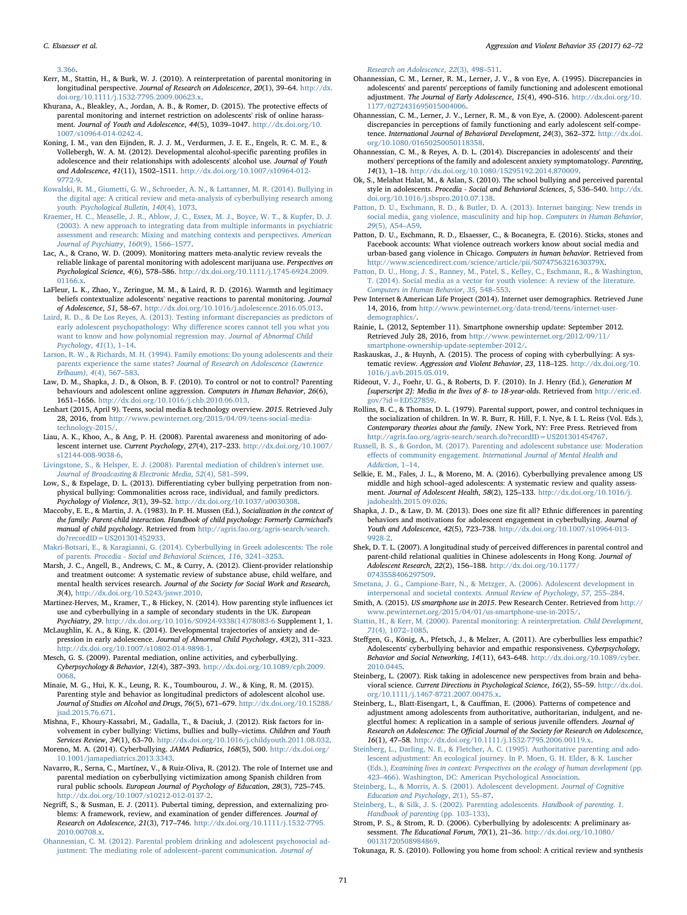#### [3.366.](http://dx.doi.org/10.1037/0012-1649.36.3.366)

- <span id="page-9-8"></span>Kerr, M., Stattin, H., & Burk, W. J. (2010). A reinterpretation of parental monitoring in longitudinal perspective. Journal of Research on Adolescence, 20(1), 39–64. [http://dx.](http://dx.doi.org/10.1111/j.1532-7795.2009.00623.x) [doi.org/10.1111/j.1532-7795.2009.00623.x.](http://dx.doi.org/10.1111/j.1532-7795.2009.00623.x)
- <span id="page-9-12"></span>Khurana, A., Bleakley, A., Jordan, A. B., & Romer, D. (2015). The protective effects of parental monitoring and internet restriction on adolescents' risk of online harassment. Journal of Youth and Adolescence, 44(5), 1039-1047. [http://dx.doi.org/10.](http://dx.doi.org/10.1007/s10964-014-0242-4) [1007/s10964-014-0242-4](http://dx.doi.org/10.1007/s10964-014-0242-4).
- Koning, I. M., van den Eijnden, R. J. J. M., Verdurmen, J. E. E., Engels, R. C. M. E., & Vollebergh, W. A. M. (2012). Developmental alcohol-specific parenting profiles in adolescence and their relationships with adolescents' alcohol use. Journal of Youth and Adolescence, 41(11), 1502–1511. [http://dx.doi.org/10.1007/s10964-012-](http://dx.doi.org/10.1007/s10964-012-9772-9) [9772-9.](http://dx.doi.org/10.1007/s10964-012-9772-9)
- <span id="page-9-11"></span>[Kowalski, R. M., Giumetti, G. W., Schroeder, A. N., & Lattanner, M. R. \(2014\). Bullying in](http://refhub.elsevier.com/S1359-1789(17)30187-8/rf0265) [the digital age: A critical review and meta-analysis of cyberbullying research among](http://refhub.elsevier.com/S1359-1789(17)30187-8/rf0265) youth. [Psychological Bulletin](http://refhub.elsevier.com/S1359-1789(17)30187-8/rf0265), 140(4), 1073.
- <span id="page-9-26"></span>[Kraemer, H. C., Measelle, J. R., Ablow, J. C., Essex, M. J., Boyce, W. T., & Kupfer, D. J.](http://refhub.elsevier.com/S1359-1789(17)30187-8/rf0270) [\(2003\). A new approach to integrating data from multiple informants in psychiatric](http://refhub.elsevier.com/S1359-1789(17)30187-8/rf0270) [assessment and research: Mixing and matching contexts and perspectives.](http://refhub.elsevier.com/S1359-1789(17)30187-8/rf0270) American [Journal of Psychiatry](http://refhub.elsevier.com/S1359-1789(17)30187-8/rf0270), 160(9), 1566–1577.
- Lac, A., & Crano, W. D. (2009). Monitoring matters meta-analytic review reveals the reliable linkage of parental monitoring with adolescent marijuana use. Perspectives on Psychological Science, 4(6), 578–586. [http://dx.doi.org/10.1111/j.1745-6924.2009.](http://dx.doi.org/10.1111/j.1745-6924.2009.01166.x) 01166.x
- <span id="page-9-32"></span>LaFleur, L. K., Zhao, Y., Zeringue, M. M., & Laird, R. D. (2016). Warmth and legitimacy beliefs contextualize adolescents' negative reactions to parental monitoring. Journal of Adolescence, 51, 58–67. <http://dx.doi.org/10.1016/j.adolescence.2016.05.013>.
- <span id="page-9-24"></span>[Laird, R. D., & De Los Reyes, A. \(2013\). Testing informant discrepancies as predictors of](http://refhub.elsevier.com/S1359-1789(17)30187-8/rf0285) [early adolescent psychopathology: Why di](http://refhub.elsevier.com/S1359-1789(17)30187-8/rf0285)fference scores cannot tell you what you [want to know and how polynomial regression may.](http://refhub.elsevier.com/S1359-1789(17)30187-8/rf0285) Journal of Abnormal Child [Psychology](http://refhub.elsevier.com/S1359-1789(17)30187-8/rf0285), 41(1), 1–14.
- <span id="page-9-34"></span>[Larson, R. W., & Richards, M. H. \(1994\). Family emotions: Do young adolescents and their](http://refhub.elsevier.com/S1359-1789(17)30187-8/rf0290) parents experience the same states? [Journal of Research on Adolescence \(Lawrence](http://refhub.elsevier.com/S1359-1789(17)30187-8/rf0290) [Erlbaum\)](http://refhub.elsevier.com/S1359-1789(17)30187-8/rf0290), 4(4), 567–583.
- <span id="page-9-13"></span>Law, D. M., Shapka, J. D., & Olson, B. F. (2010). To control or not to control? Parenting behaviours and adolescent online aggression. Computers in Human Behavior, 26(6), 1651–1656. [http://dx.doi.org/10.1016/j.chb.2010.06.013.](http://dx.doi.org/10.1016/j.chb.2010.06.013)
- <span id="page-9-28"></span>Lenhart (2015, April 9). Teens, social media & technology overview. 2015. Retrieved July 28, 2016, from [http://www.pewinternet.org/2015/04/09/teens-social-media](http://www.pewinternet.org/2015/04/09/teens-social-media-technology-2015/)[technology-2015/](http://www.pewinternet.org/2015/04/09/teens-social-media-technology-2015/).
- Liau, A. K., Khoo, A., & Ang, P. H. (2008). Parental awareness and monitoring of adolescent internet use. Current Psychology, 27(4), 217–233. [http://dx.doi.org/10.1007/](http://dx.doi.org/10.1007/s12144-008-9038-6) [s12144-008-9038-6.](http://dx.doi.org/10.1007/s12144-008-9038-6)
- <span id="page-9-14"></span>[Livingstone, S., & Helsper, E. J. \(2008\). Parental mediation of children's internet use.](http://refhub.elsevier.com/S1359-1789(17)30187-8/rf0310) [Journal of Broadcasting & Electronic Media](http://refhub.elsevier.com/S1359-1789(17)30187-8/rf0310), 52(4), 581–599.
- <span id="page-9-15"></span>Low, S., & Espelage, D. L. (2013). Differentiating cyber bullying perpetration from nonphysical bullying: Commonalities across race, individual, and family predictors. Psychology of Violence, 3(1), 39–52. <http://dx.doi.org/10.1037/a0030308>.
- <span id="page-9-9"></span>Maccoby, E. E., & Martin, J. A. (1983). In P. H. Mussen (Ed.), Socialization in the context of the family: Parent-child interaction. Handbook of child psychology: Formerly Carmichael's manual of child psychology. Retrieved from [http://agris.fao.org/agris-search/search.](http://agris.fao.org/agris-search/search.do?recordID=US201301452933) [do?recordID=US201301452933.](http://agris.fao.org/agris-search/search.do?recordID=US201301452933)
- <span id="page-9-16"></span>[Makri-Botsari, E., & Karagianni, G. \(2014\). Cyberbullying in Greek adolescents: The role](http://refhub.elsevier.com/S1359-1789(17)30187-8/rf0325) of parents. [Procedia - Social and Behavioral Sciences](http://refhub.elsevier.com/S1359-1789(17)30187-8/rf0325), 116, 3241–3253.
- Marsh, J. C., Angell, B., Andrews, C. M., & Curry, A. (2012). Client-provider relationship and treatment outcome: A systematic review of substance abuse, child welfare, and mental health services research. Journal of the Society for Social Work and Research, 3(4), [http://dx.doi.org/10.5243/jsswr.2010.](http://dx.doi.org/10.5243/jsswr.2010)
- <span id="page-9-17"></span>Martinez-Herves, M., Kramer, T., & Hickey, N. (2014). How parenting style influences ict use and cyberbullying in a sample of secondary students in the UK. European Psychiatry, 29. [http://dx.doi.org/10.1016/S0924-9338\(14\)78083-6](http://dx.doi.org/10.1016/S0924-9338(14)78083-6) Supplement 1, 1.
- McLaughlin, K. A., & King, K. (2014). Developmental trajectories of anxiety and depression in early adolescence. Journal of Abnormal Child Psychology, 43(2), 311–323. [http://dx.doi.org/10.1007/s10802-014-9898-1.](http://dx.doi.org/10.1007/s10802-014-9898-1)
- <span id="page-9-18"></span>Mesch, G. S. (2009). Parental mediation, online activities, and cyberbullying. Cyberpsychology & Behavior, 12(4), 387–393. [http://dx.doi.org/10.1089/cpb.2009.](http://dx.doi.org/10.1089/cpb.2009.0068) [0068.](http://dx.doi.org/10.1089/cpb.2009.0068)
- Minaie, M. G., Hui, K. K., Leung, R. K., Toumbourou, J. W., & King, R. M. (2015). Parenting style and behavior as longitudinal predictors of adolescent alcohol use. Journal of Studies on Alcohol and Drugs, 76(5), 671–679. [http://dx.doi.org/10.15288/](http://dx.doi.org/10.15288/jsad.2015.76.671) [jsad.2015.76.671](http://dx.doi.org/10.15288/jsad.2015.76.671).
- <span id="page-9-19"></span>Mishna, F., Khoury-Kassabri, M., Gadalla, T., & Daciuk, J. (2012). Risk factors for involvement in cyber bullying: Victims, bullies and bully–victims. Children and Youth Services Review, 34(1), 63–70. [http://dx.doi.org/10.1016/j.childyouth.2011.08.032.](http://dx.doi.org/10.1016/j.childyouth.2011.08.032)
- <span id="page-9-33"></span>Moreno, M. A. (2014). Cyberbullying. JAMA Pediatrics, 168(5), 500. [http://dx.doi.org/](http://dx.doi.org/10.1001/jamapediatrics.2013.3343) [10.1001/jamapediatrics.2013.3343.](http://dx.doi.org/10.1001/jamapediatrics.2013.3343)
- <span id="page-9-20"></span>Navarro, R., Serna, C., Martínez, V., & Ruiz-Oliva, R. (2012). The role of Internet use and parental mediation on cyberbullying victimization among Spanish children from rural public schools. European Journal of Psychology of Education, 28(3), 725–745. [http://dx.doi.org/10.1007/s10212-012-0137-2.](http://dx.doi.org/10.1007/s10212-012-0137-2)
- Negriff, S., & Susman, E. J. (2011). Pubertal timing, depression, and externalizing problems: A framework, review, and examination of gender differences. Journal of Research on Adolescence, 21(3), 717–746. [http://dx.doi.org/10.1111/j.1532-7795.](http://dx.doi.org/10.1111/j.1532-7795.2010.00708.x) [2010.00708.x.](http://dx.doi.org/10.1111/j.1532-7795.2010.00708.x)
- [Ohannessian, C. M. \(2012\). Parental problem drinking and adolescent psychosocial ad](http://refhub.elsevier.com/S1359-1789(17)30187-8/rf0370)[justment: The mediating role of adolescent](http://refhub.elsevier.com/S1359-1789(17)30187-8/rf0370)–parent communication. Journal of

[Research on Adolescence](http://refhub.elsevier.com/S1359-1789(17)30187-8/rf0370), 22(3), 498–511.

- Ohannessian, C. M., Lerner, R. M., Lerner, J. V., & von Eye, A. (1995). Discrepancies in adolescents' and parents' perceptions of family functioning and adolescent emotional adjustment. The Journal of Early Adolescence, 15(4), 490–516. [http://dx.doi.org/10.](http://dx.doi.org/10.1177/0272431695015004006) [1177/0272431695015004006](http://dx.doi.org/10.1177/0272431695015004006).
- <span id="page-9-25"></span>Ohannessian, C. M., Lerner, J. V., Lerner, R. M., & von Eye, A. (2000). Adolescent-parent discrepancies in perceptions of family functioning and early adolescent self-competence. International Journal of Behavioral Development, 24(3), 362–372. [http://dx.doi.](http://dx.doi.org/10.1080/01650250050118358) [org/10.1080/01650250050118358](http://dx.doi.org/10.1080/01650250050118358).
- Ohannessian, C. M., & Reyes, A. D. L. (2014). Discrepancies in adolescents' and their mothers' perceptions of the family and adolescent anxiety symptomatology. Parenting, 14(1), 1–18. [http://dx.doi.org/10.1080/15295192.2014.870009.](http://dx.doi.org/10.1080/15295192.2014.870009)
- Ok, S., Melahat Halat, M., & Aslan, S. (2010). The school bullying and perceived parental style in adolescents. Procedia - Social and Behavioral Sciences, 5, 536–540. [http://dx.](http://dx.doi.org/10.1016/j.sbspro.2010.07.138) [doi.org/10.1016/j.sbspro.2010.07.138.](http://dx.doi.org/10.1016/j.sbspro.2010.07.138)
- <span id="page-9-31"></span>[Patton, D. U., Eschmann, R. D., & Butler, D. A. \(2013\). Internet banging: New trends in](http://refhub.elsevier.com/S1359-1789(17)30187-8/rf0395) [social media, gang violence, masculinity and hip hop.](http://refhub.elsevier.com/S1359-1789(17)30187-8/rf0395) Computers in Human Behavior, 29[\(5\), A54](http://refhub.elsevier.com/S1359-1789(17)30187-8/rf0395)–A59.
- <span id="page-9-22"></span>Patton, D. U., Eschmann, R. D., Elsaesser, C., & Bocanegra, E. (2016). Sticks, stones and Facebook accounts: What violence outreach workers know about social media and urban-based gang violence in Chicago. Computers in human behavior. Retrieved from <http://www.sciencedirect.com/science/article/pii/S074756321630379X>.
- [Patton, D. U., Hong, J. S., Ranney, M., Patel, S., Kelley, C., Eschmann, R., & Washington,](http://refhub.elsevier.com/S1359-1789(17)30187-8/rf0405) [T. \(2014\). Social media as a vector for youth violence: A review of the literature.](http://refhub.elsevier.com/S1359-1789(17)30187-8/rf0405) [Computers in Human Behavior](http://refhub.elsevier.com/S1359-1789(17)30187-8/rf0405), 35, 548–553.
- <span id="page-9-2"></span>Pew Internet & American Life Project (2014). Internet user demographics. Retrieved June 14, 2016, from [http://www.pewinternet.org/data-trend/teens/internet-user](http://www.pewinternet.org/data-trend/teens/internet-user-demographics/)[demographics/](http://www.pewinternet.org/data-trend/teens/internet-user-demographics/).
- <span id="page-9-29"></span>Rainie, L. (2012, September 11). Smartphone ownership update: September 2012. Retrieved July 28, 2016, from [http://www.pewinternet.org/2012/09/11/](http://www.pewinternet.org/2012/09/11/smartphone-ownership-update-september-2012/) [smartphone-ownership-update-september-2012/](http://www.pewinternet.org/2012/09/11/smartphone-ownership-update-september-2012/).
- Raskauskas, J., & Huynh, A. (2015). The process of coping with cyberbullying: A systematic review. Aggression and Violent Behavior, 23, 118–125. [http://dx.doi.org/10.](http://dx.doi.org/10.1016/j.avb.2015.05.019) [1016/j.avb.2015.05.019](http://dx.doi.org/10.1016/j.avb.2015.05.019).
- <span id="page-9-3"></span>Rideout, V. J., Foehr, U. G., & Roberts, D. F. (2010). In J. Henry (Ed.), Generation M [superscript 2]: Media in the lives of 8- to 18-year-olds. Retrieved from [http://eric.ed.](http://eric.ed.gov/?id=ED527859)  $\sigma$ ov/?id=ED527859.
- <span id="page-9-6"></span>Rollins, B. C., & Thomas, D. L. (1979). Parental support, power, and control techniques in the socialization of children. In W. R. Burr, R. Hill, F. I. Nye, & I. L. Reiss (Vol. Eds.), Contemporary theories about the family. 1New York, NY: Free Press. Retrieved from <http://agris.fao.org/agris-search/search.do?recordID=US201301454767>.
- [Russell, B. S., & Gordon, M. \(2017\). Parenting and adolescent substance use: Moderation](http://refhub.elsevier.com/S1359-1789(17)30187-8/rf0435) effects of community engagement. [International Journal of Mental Health and](http://refhub.elsevier.com/S1359-1789(17)30187-8/rf0435) [Addiction](http://refhub.elsevier.com/S1359-1789(17)30187-8/rf0435), 1–14.
- Selkie, E. M., Fales, J. L., & Moreno, M. A. (2016). Cyberbullying prevalence among US middle and high school–aged adolescents: A systematic review and quality assessment. Journal of Adolescent Health, 58(2), 125–133. [http://dx.doi.org/10.1016/j.](http://dx.doi.org/10.1016/j.jadohealth.2015.09.026) [jadohealth.2015.09.026](http://dx.doi.org/10.1016/j.jadohealth.2015.09.026).
- <span id="page-9-21"></span>Shapka, J. D., & Law, D. M. (2013). Does one size fit all? Ethnic differences in parenting behaviors and motivations for adolescent engagement in cyberbullying. Journal of Youth and Adolescence, 42(5), 723–738. [http://dx.doi.org/10.1007/s10964-013-](http://dx.doi.org/10.1007/s10964-013-9928-2) [9928-2.](http://dx.doi.org/10.1007/s10964-013-9928-2)
- Shek, D. T. L. (2007). A longitudinal study of perceived differences in parental control and parent-child relational qualities in Chinese adolescents in Hong Kong. Journal of Adolescent Research, 22(2), 156–188. [http://dx.doi.org/10.1177/](http://dx.doi.org/10.1177/0743558406297509) [0743558406297509.](http://dx.doi.org/10.1177/0743558406297509)

<span id="page-9-0"></span>[Smetana, J. G., Campione-Barr, N., & Metzger, A. \(2006\). Adolescent development in](http://refhub.elsevier.com/S1359-1789(17)30187-8/rf0455) [interpersonal and societal contexts.](http://refhub.elsevier.com/S1359-1789(17)30187-8/rf0455) Annual Review of Psychology, 57, 255–284.

- <span id="page-9-27"></span>Smith, A. (2015). US smartphone use in 2015. Pew Research Center. Retrieved from [http://](http://www.pewinternet.org/2015/04/01/us-smartphone-use-in-2015/) [www.pewinternet.org/2015/04/01/us-smartphone-use-in-2015/.](http://www.pewinternet.org/2015/04/01/us-smartphone-use-in-2015/)
- <span id="page-9-7"></span>[Stattin, H., & Kerr, M. \(2000\). Parental monitoring: A reinterpretation.](http://refhub.elsevier.com/S1359-1789(17)30187-8/rf0465) Child Development, 71[\(4\), 1072](http://refhub.elsevier.com/S1359-1789(17)30187-8/rf0465)–1085.
- <span id="page-9-30"></span>Steffgen, G., König, A., Pfetsch, J., & Melzer, A. (2011). Are cyberbullies less empathic? Adolescents' cyberbullying behavior and empathic responsiveness. Cyberpsychology, Behavior and Social Networking, 14(11), 643–648. [http://dx.doi.org/10.1089/cyber.](http://dx.doi.org/10.1089/cyber.2010.0445) [2010.0445](http://dx.doi.org/10.1089/cyber.2010.0445).
- <span id="page-9-1"></span>Steinberg, L. (2007). Risk taking in adolescence new perspectives from brain and behavioral science. Current Directions in Psychological Science, 16(2), 55–59. [http://dx.doi.](http://dx.doi.org/10.1111/j.1467-8721.2007.00475.x) [org/10.1111/j.1467-8721.2007.00475.x.](http://dx.doi.org/10.1111/j.1467-8721.2007.00475.x)
- <span id="page-9-10"></span>Steinberg, L., Blatt-Eisengart, I., & Cauffman, E. (2006). Patterns of competence and adjustment among adolescents from authoritative, authoritarian, indulgent, and neglectful homes: A replication in a sample of serious juvenile offenders. Journal of Research on Adolescence: The Official Journal of the Society for Research on Adolescence, 16(1), 47–58. [http://dx.doi.org/10.1111/j.1532-7795.2006.00119.x.](http://dx.doi.org/10.1111/j.1532-7795.2006.00119.x)
- [Steinberg, L., Darling, N. E., & Fletcher, A. C. \(1995\). Authoritative parenting and ado](http://refhub.elsevier.com/S1359-1789(17)30187-8/rf0485)[lescent adjustment: An ecological journey. In P. Moen, G. H. Elder, & K. Luscher](http://refhub.elsevier.com/S1359-1789(17)30187-8/rf0485) (Eds.), [Examining lives in context: Perspectives on the ecology of human development](http://refhub.elsevier.com/S1359-1789(17)30187-8/rf0485) (pp. 423–[466\). Washington, DC: American Psychological Association](http://refhub.elsevier.com/S1359-1789(17)30187-8/rf0485).
- <span id="page-9-23"></span>[Steinberg, L., & Morris, A. S. \(2001\). Adolescent development.](http://refhub.elsevier.com/S1359-1789(17)30187-8/rf0490) Journal of Cognitive [Education and Psychology](http://refhub.elsevier.com/S1359-1789(17)30187-8/rf0490), 2(1), 55–87.
- <span id="page-9-5"></span>[Steinberg, L., & Silk, J. S. \(2002\). Parenting adolescents.](http://refhub.elsevier.com/S1359-1789(17)30187-8/rf0495) Handbook of parenting. 1. [Handbook of parenting](http://refhub.elsevier.com/S1359-1789(17)30187-8/rf0495) (pp. 103–133).
- Strom, P. S., & Strom, R. D. (2006). Cyberbullying by adolescents: A preliminary assessment. The Educational Forum, 70(1), 21-36. [http://dx.doi.org/10.1080/](http://dx.doi.org/10.1080/00131720508984869) [00131720508984869.](http://dx.doi.org/10.1080/00131720508984869)
- <span id="page-9-4"></span>Tokunaga, R. S. (2010). Following you home from school: A critical review and synthesis